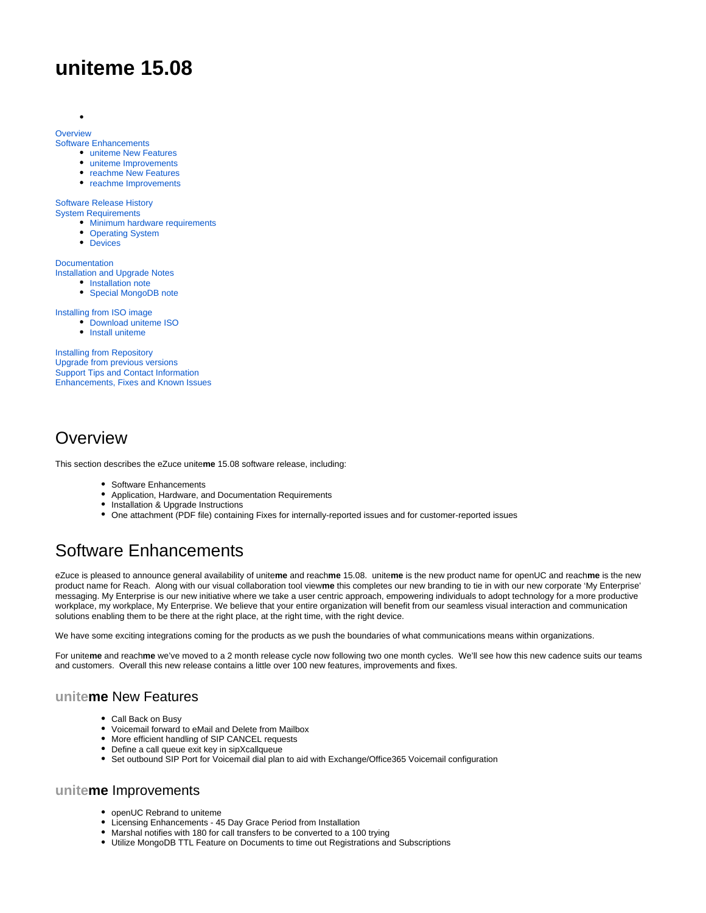# **uniteme 15.08**

#### **[Overview](#page-0-0)**

 $\bullet$ 

[Software Enhancements](#page-0-1)

- [uniteme New Features](#page-0-2)
- [uniteme Improvements](#page-0-3)
- [reachme New Features](#page-1-0)
- [reachme Improvements](#page-1-1)

#### [Software Release History](#page-1-2)

[System Requirements](#page-1-3)

- [Minimum hardware requirements](#page-1-4)
- [Operating System](#page-1-5)
- [Devices](#page-1-6)

**[Documentation](#page-2-0)** [Installation and Upgrade Notes](#page-2-1)

- [Installation note](#page-2-2)
- [Special MongoDB note](#page-2-3)

[Installing from ISO image](#page-2-4)

- [Download uniteme ISO](#page-2-5)
- [Install uniteme](#page-2-6)

[Installing from Repository](#page-3-0) [Upgrade from previous versions](#page-3-1) [Support Tips and Contact Information](#page-3-2) [Enhancements, Fixes and Known Issues](#page-3-3)

### <span id="page-0-0"></span>**Overview**

This section describes the eZuce unite**me** 15.08 software release, including:

- Software Enhancements
- Application, Hardware, and Documentation Requirements
- $\bullet$ Installation & Upgrade Instructions
- One attachment (PDF file) containing Fixes for internally-reported issues and for customer-reported issues

# <span id="page-0-1"></span>Software Enhancements

eZuce is pleased to announce general availability of unite**me** and reach**me** 15.08. unite**me** is the new product name for openUC and reach**me** is the new product name for Reach. Along with our visual collaboration tool view**me** this completes our new branding to tie in with our new corporate 'My Enterprise' messaging. My Enterprise is our new initiative where we take a user centric approach, empowering individuals to adopt technology for a more productive workplace, my workplace, My Enterprise. We believe that your entire organization will benefit from our seamless visual interaction and communication solutions enabling them to be there at the right place, at the right time, with the right device.

We have some exciting integrations coming for the products as we push the boundaries of what communications means within organizations.

For unite**me** and reach**me** we've moved to a 2 month release cycle now following two one month cycles. We'll see how this new cadence suits our teams and customers. Overall this new release contains a little over 100 new features, improvements and fixes.

### <span id="page-0-2"></span>**uniteme** New Features

- Call Back on Busy
- Voicemail forward to eMail and Delete from Mailbox
- More efficient handling of SIP CANCEL requests
- Define a call queue exit key in sipXcallqueue  $\bullet$
- Set outbound SIP Port for Voicemail dial plan to aid with Exchange/Office365 Voicemail configuration

#### <span id="page-0-3"></span>**uniteme** Improvements

- openUC Rebrand to uniteme
- Licensing Enhancements 45 Day Grace Period from Installation  $\bullet$
- Marshal notifies with 180 for call transfers to be converted to a 100 trying
- Utilize MongoDB TTL Feature on Documents to time out Registrations and Subscriptions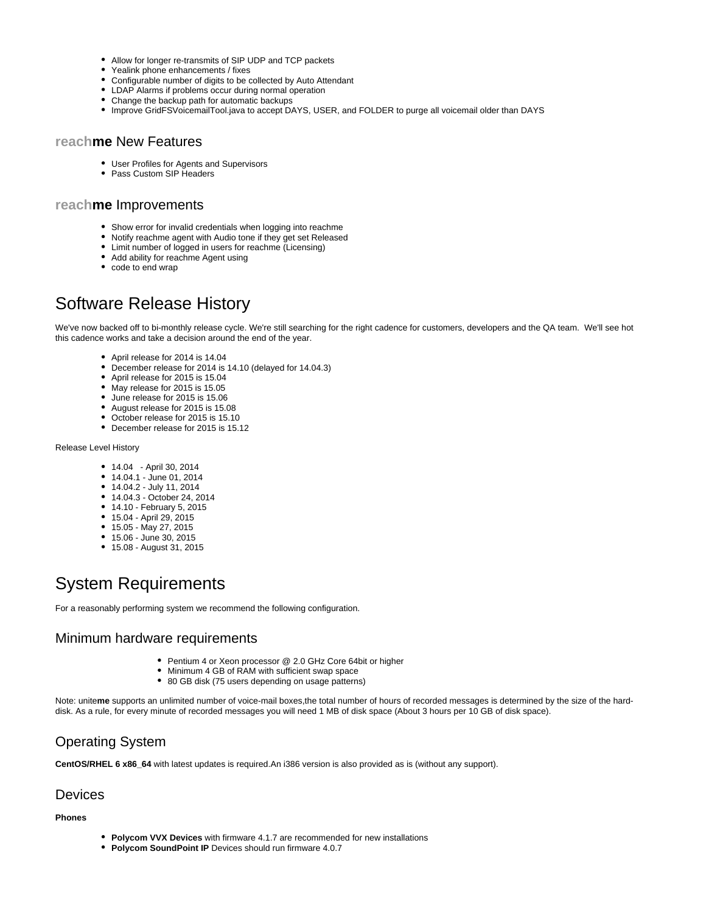- Allow for longer re-transmits of SIP UDP and TCP packets
- Yealink phone enhancements / fixes
- Configurable number of digits to be collected by Auto Attendant
- LDAP Alarms if problems occur during normal operation
- Change the backup path for automatic backups
- Improve GridFSVoicemailTool.java to accept DAYS, USER, and FOLDER to purge all voicemail older than DAYS

### <span id="page-1-0"></span>**reachme** New Features

- User Profiles for Agents and Supervisors
- Pass Custom SIP Headers

#### <span id="page-1-1"></span>**reachme** Improvements

- $\bullet$ Show error for invalid credentials when logging into reachme
- Notify reachme agent with Audio tone if they get set Released
- Limit number of logged in users for reachme (Licensing)
- Add ability for reachme Agent using
- code to end wrap

## <span id="page-1-2"></span>Software Release History

We've now backed off to bi-monthly release cycle. We're still searching for the right cadence for customers, developers and the QA team. We'll see hot this cadence works and take a decision around the end of the year.

- April release for 2014 is 14.04
- $\bullet$ December release for 2014 is 14.10 (delayed for 14.04.3)
- April release for 2015 is 15.04
- May release for 2015 is 15.05
- June release for 2015 is 15.06
- August release for 2015 is 15.08
- October release for 2015 is 15.10
- December release for 2015 is 15.12

Release Level History

- 14.04 April 30, 2014
- 14.04.1 June 01, 2014
- 14.04.2 July 11, 2014
- 14.04.3 October 24, 2014
- 14.10 February 5, 2015
- 15.04 April 29, 2015
- 15.05 May 27, 2015
- 15.06 June 30, 2015
- 15.08 August 31, 2015

# <span id="page-1-3"></span>System Requirements

For a reasonably performing system we recommend the following configuration.

#### <span id="page-1-4"></span>Minimum hardware requirements

- Pentium 4 or Xeon processor @ 2.0 GHz Core 64bit or higher
- Minimum 4 GB of RAM with sufficient swap space
- 80 GB disk (75 users depending on usage patterns)

Note: unite**me** supports an unlimited number of voice-mail boxes,the total number of hours of recorded messages is determined by the size of the harddisk. As a rule, for every minute of recorded messages you will need 1 MB of disk space (About 3 hours per 10 GB of disk space).

### <span id="page-1-5"></span>Operating System

**CentOS/RHEL 6 x86\_64** with latest updates is required.An i386 version is also provided as is (without any support).

#### <span id="page-1-6"></span>Devices

**Phones**

- **Polycom VVX Devices** with firmware 4.1.7 are recommended for new installations
- **Polycom SoundPoint IP** Devices should run firmware 4.0.7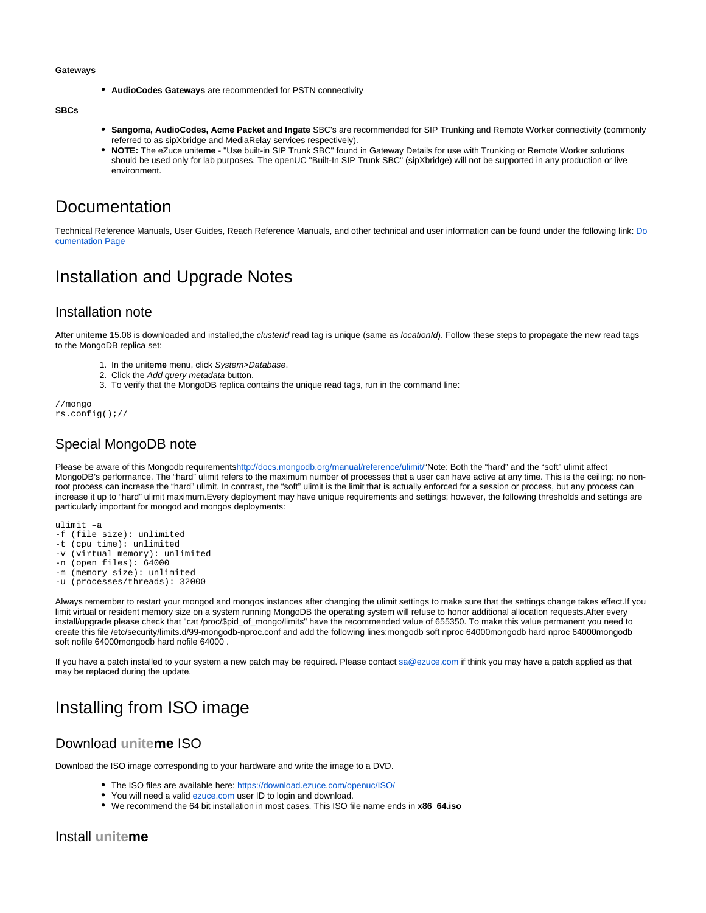#### **Gateways**

**AudioCodes Gateways** are recommended for PSTN connectivity

**SBCs**

- **Sangoma, AudioCodes, Acme Packet and Ingate** SBC's are recommended for SIP Trunking and Remote Worker connectivity (commonly referred to as sipXbridge and MediaRelay services respectively).
- **NOTE:** The eZuce unite**me** "Use built-in SIP Trunk SBC" found in Gateway Details for use with Trunking or Remote Worker solutions should be used only for lab purposes. The openUC "Built-In SIP Trunk SBC" (sipXbridge) will not be supported in any production or live environment.

### <span id="page-2-0"></span>Documentation

Technical Reference Manuals, User Guides, Reach Reference Manuals, and other technical and user information can be found under the following link: [Do](https://wiki.ezuce.com/display/unite/uniteme) [cumentation Page](https://wiki.ezuce.com/display/unite/uniteme)

## <span id="page-2-1"></span>Installation and Upgrade Notes

### <span id="page-2-2"></span>Installation note

After unite**me** 15.08 is downloaded and installed,the clusterId read tag is unique (same as locationId). Follow these steps to propagate the new read tags to the MongoDB replica set:

- 1. In the unite**me** menu, click System>Database.
- 2. Click the Add query metadata button.
- 3. To verify that the MongoDB replica contains the unique read tags, run in the command line:

//mongo rs.config();//

### <span id="page-2-3"></span>Special MongoDB note

Please be aware of this Mongodb requirement[shttp://docs.mongodb.org/manual/reference/ulimit/](http://docs.mongodb.org/manual/reference/ulimit/)"Note: Both the "hard" and the "soft" ulimit affect MongoDB's performance. The "hard" ulimit refers to the maximum number of processes that a user can have active at any time. This is the ceiling: no nonroot process can increase the "hard" ulimit. In contrast, the "soft" ulimit is the limit that is actually enforced for a session or process, but any process can increase it up to "hard" ulimit maximum.Every deployment may have unique requirements and settings; however, the following thresholds and settings are particularly important for mongod and mongos deployments:

ulimit –a -f (file size): unlimited

- -t (cpu time): unlimited
- -v (virtual memory): unlimited

-n (open files): 64000

-m (memory size): unlimited

-u (processes/threads): 32000

Always remember to restart your mongod and mongos instances after changing the ulimit settings to make sure that the settings change takes effect.If you limit virtual or resident memory size on a system running MongoDB the operating system will refuse to honor additional allocation requests.After every install/upgrade please check that "cat /proc/\$pid\_of\_mongo/limits" have the recommended value of 655350. To make this value permanent you need to create this file /etc/security/limits.d/99-mongodb-nproc.conf and add the following lines:mongodb soft nproc 64000mongodb hard nproc 64000mongodb soft nofile 64000mongodb hard nofile 64000 .

If you have a patch installed to your system a new patch may be required. Please contact [sa@ezuce.com](mailto:sa@ezuce.com) if think you may have a patch applied as that may be replaced during the update.

## <span id="page-2-4"></span>Installing from ISO image

### <span id="page-2-5"></span>Download **uniteme** ISO

<span id="page-2-6"></span>Download the ISO image corresponding to your hardware and write the image to a DVD.

- The ISO files are available here: <https://download.ezuce.com/openuc/ISO/>
- You will need a valid [ezuce.com](http://ezuce.com) user ID to login and download.
- We recommend the 64 bit installation in most cases. This ISO file name ends in **x86\_64.iso**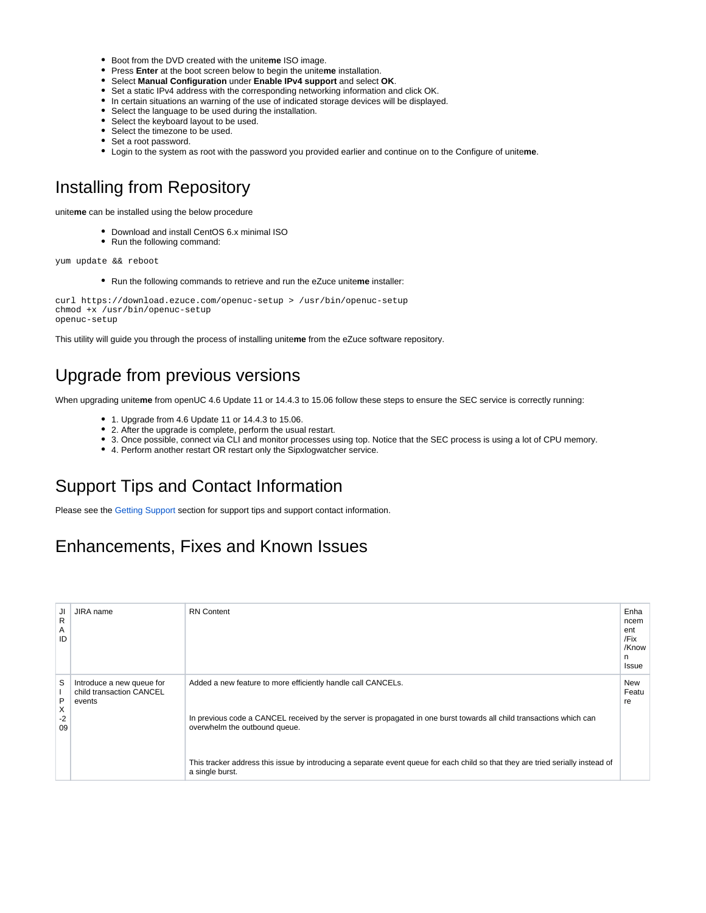- **•** Boot from the DVD created with the uniteme ISO image.
- Press **Enter** at the boot screen below to begin the unite**me** installation.
- Select **Manual Configuration** under **Enable IPv4 support** and select **OK**.
- Set a static IPv4 address with the corresponding networking information and click OK.
- In certain situations an warning of the use of indicated storage devices will be displayed.
- Select the language to be used during the installation.
- Select the keyboard layout to be used.
- Select the timezone to be used.
- Set a root password.
- Login to the system as root with the password you provided earlier and continue on to the Configure of unite**me**.

## <span id="page-3-0"></span>Installing from Repository

unite**me** can be installed using the below procedure

- Download and install CentOS 6.x minimal ISO
- Run the following command:

yum update && reboot

Run the following commands to retrieve and run the eZuce unite**me** installer:

```
curl https://download.ezuce.com/openuc-setup > /usr/bin/openuc-setup
chmod +x /usr/bin/openuc-setup
openuc-setup
```
This utility will guide you through the process of installing unite**me** from the eZuce software repository.

## <span id="page-3-1"></span>Upgrade from previous versions

When upgrading unite**me** from openUC 4.6 Update 11 or 14.4.3 to 15.06 follow these steps to ensure the SEC service is correctly running:

- 1. Upgrade from 4.6 Update 11 or 14.4.3 to 15.06.
- 2. After the upgrade is complete, perform the usual restart.
- 3. Once possible, connect via CLI and monitor processes using top. Notice that the SEC process is using a lot of CPU memory.
- 4. Perform another restart OR restart only the Sipxlogwatcher service.

# <span id="page-3-2"></span>Support Tips and Contact Information

Please see the [Getting Support](https://wiki.ezuce.com/display/unite/Getting+Support) section for support tips and support contact information.

## <span id="page-3-3"></span>Enhancements, Fixes and Known Issues

| JI         | JIRA name                          | <b>RN</b> Content                                                                                                                                     | Enha        |
|------------|------------------------------------|-------------------------------------------------------------------------------------------------------------------------------------------------------|-------------|
| R<br>Α     |                                    |                                                                                                                                                       | ncem<br>ent |
| ID         |                                    |                                                                                                                                                       | /Fix        |
|            |                                    |                                                                                                                                                       | /Know<br>n  |
|            |                                    |                                                                                                                                                       | Issue       |
| S          | Introduce a new queue for          | Added a new feature to more efficiently handle call CANCELs.                                                                                          | New         |
| P          | child transaction CANCEL<br>events |                                                                                                                                                       | Featu<br>re |
| X          |                                    |                                                                                                                                                       |             |
| $-2$<br>09 |                                    | In previous code a CANCEL received by the server is propagated in one burst towards all child transactions which can<br>overwhelm the outbound queue. |             |
|            |                                    |                                                                                                                                                       |             |
|            |                                    | This tracker address this issue by introducing a separate event queue for each child so that they are tried serially instead of                       |             |
|            |                                    | a single burst.                                                                                                                                       |             |
|            |                                    |                                                                                                                                                       |             |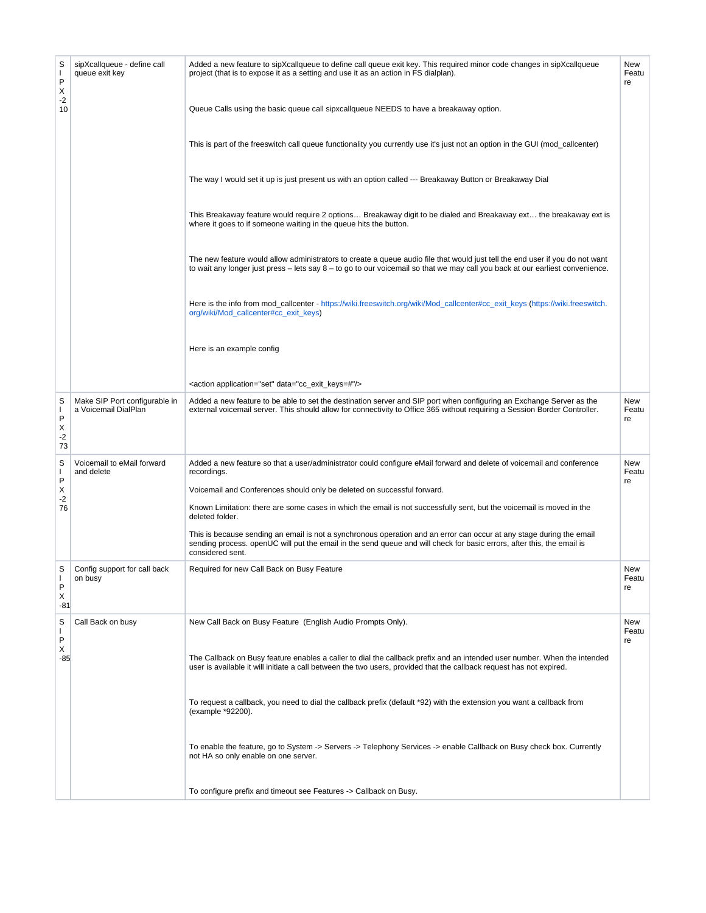| S<br>$\mathbf{I}$<br>P<br>X    | sipXcallqueue - define call<br>queue exit key         | Added a new feature to sipXcallqueue to define call queue exit key. This required minor code changes in sipXcallqueue<br>project (that is to expose it as a setting and use it as an action in FS dialplan).                                                       | New<br>Featu<br>re |
|--------------------------------|-------------------------------------------------------|--------------------------------------------------------------------------------------------------------------------------------------------------------------------------------------------------------------------------------------------------------------------|--------------------|
| $-2$<br>10                     |                                                       | Queue Calls using the basic queue call sipxcallqueue NEEDS to have a breakaway option.                                                                                                                                                                             |                    |
|                                |                                                       | This is part of the freeswitch call queue functionality you currently use it's just not an option in the GUI (mod_callcenter)                                                                                                                                      |                    |
|                                |                                                       | The way I would set it up is just present us with an option called --- Breakaway Button or Breakaway Dial                                                                                                                                                          |                    |
|                                |                                                       | This Breakaway feature would require 2 options Breakaway digit to be dialed and Breakaway ext the breakaway ext is<br>where it goes to if someone waiting in the queue hits the button.                                                                            |                    |
|                                |                                                       | The new feature would allow administrators to create a queue audio file that would just tell the end user if you do not want<br>to wait any longer just press $-$ lets say $8 -$ to go to our voicemail so that we may call you back at our earliest convenience.  |                    |
|                                |                                                       | Here is the info from mod_callcenter - https://wiki.freeswitch.org/wiki/Mod_callcenter#cc_exit_keys (https://wiki.freeswitch.<br>org/wiki/Mod_callcenter#cc_exit_keys)                                                                                             |                    |
|                                |                                                       | Here is an example config                                                                                                                                                                                                                                          |                    |
|                                |                                                       | <action application="set" data="cc_exit_keys=#"></action>                                                                                                                                                                                                          |                    |
| S<br>T<br>P<br>х<br>$-2$<br>73 | Make SIP Port configurable in<br>a Voicemail DialPlan | Added a new feature to be able to set the destination server and SIP port when configuring an Exchange Server as the<br>external voicemail server. This should allow for connectivity to Office 365 without requiring a Session Border Controller.                 | New<br>Featu<br>re |
| S<br>T<br>P                    | Voicemail to eMail forward<br>and delete              | Added a new feature so that a user/administrator could configure eMail forward and delete of voicemail and conference<br>recordings.                                                                                                                               | New<br>Featu<br>re |
| х<br>$-2$                      |                                                       | Voicemail and Conferences should only be deleted on successful forward.                                                                                                                                                                                            |                    |
| 76                             |                                                       | Known Limitation: there are some cases in which the email is not successfully sent, but the voicemail is moved in the<br>deleted folder.                                                                                                                           |                    |
|                                |                                                       | This is because sending an email is not a synchronous operation and an error can occur at any stage during the email<br>sending process, openUC will put the email in the send queue and will check for basic errors, after this, the email is<br>considered sent. |                    |
| S<br>I.<br>P<br>X<br>-81       | Config support for call back<br>on busy               | Required for new Call Back on Busy Feature                                                                                                                                                                                                                         | New<br>Featu<br>re |
| S<br>$\mathbf{I}$<br>P         | Call Back on busy                                     | New Call Back on Busy Feature (English Audio Prompts Only).                                                                                                                                                                                                        | New<br>Featu<br>re |
| Х<br>-85                       |                                                       | The Callback on Busy feature enables a caller to dial the callback prefix and an intended user number. When the intended<br>user is available it will initiate a call between the two users, provided that the callback request has not expired.                   |                    |
|                                |                                                       | To request a callback, you need to dial the callback prefix (default *92) with the extension you want a callback from<br>(example *92200).                                                                                                                         |                    |
|                                |                                                       | To enable the feature, go to System -> Servers -> Telephony Services -> enable Callback on Busy check box. Currently<br>not HA so only enable on one server.                                                                                                       |                    |
|                                |                                                       | To configure prefix and timeout see Features -> Callback on Busy.                                                                                                                                                                                                  |                    |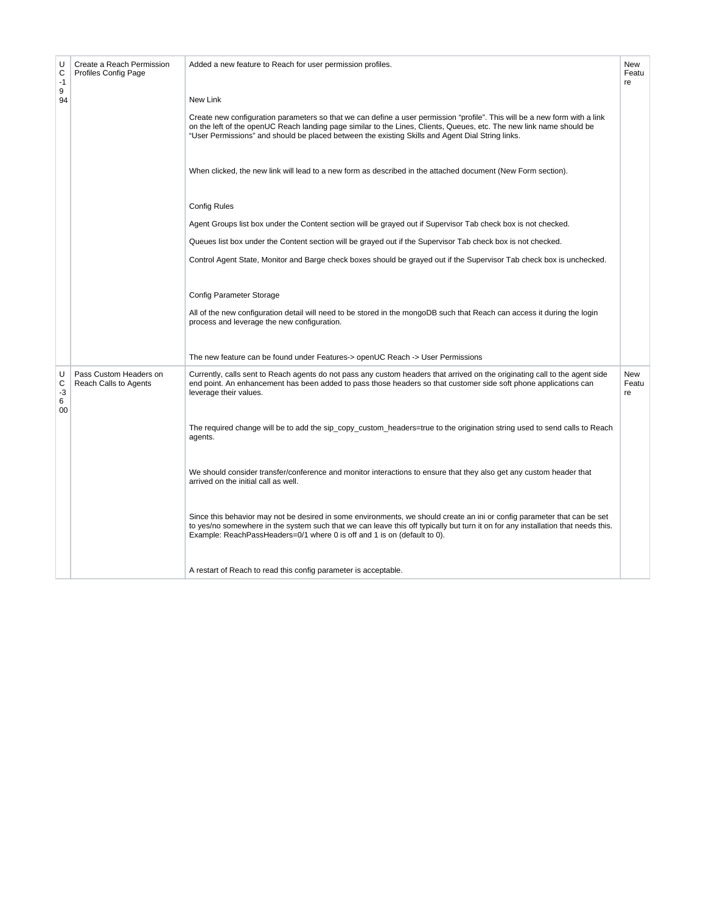| U<br>C<br>$-1$<br>9<br>94 | Create a Reach Permission<br><b>Profiles Config Page</b> | Added a new feature to Reach for user permission profiles.<br>New Link                                                                                                                                                                                                                                                                                 | <b>New</b><br>Featu<br>re |
|---------------------------|----------------------------------------------------------|--------------------------------------------------------------------------------------------------------------------------------------------------------------------------------------------------------------------------------------------------------------------------------------------------------------------------------------------------------|---------------------------|
|                           |                                                          | Create new configuration parameters so that we can define a user permission "profile". This will be a new form with a link<br>on the left of the openUC Reach landing page similar to the Lines, Clients, Queues, etc. The new link name should be<br>"User Permissions" and should be placed between the existing Skills and Agent Dial String links. |                           |
|                           |                                                          | When clicked, the new link will lead to a new form as described in the attached document (New Form section).                                                                                                                                                                                                                                           |                           |
|                           |                                                          | <b>Config Rules</b>                                                                                                                                                                                                                                                                                                                                    |                           |
|                           |                                                          | Agent Groups list box under the Content section will be grayed out if Supervisor Tab check box is not checked.                                                                                                                                                                                                                                         |                           |
|                           |                                                          | Queues list box under the Content section will be grayed out if the Supervisor Tab check box is not checked.                                                                                                                                                                                                                                           |                           |
|                           |                                                          | Control Agent State, Monitor and Barge check boxes should be grayed out if the Supervisor Tab check box is unchecked.                                                                                                                                                                                                                                  |                           |
|                           |                                                          | <b>Config Parameter Storage</b>                                                                                                                                                                                                                                                                                                                        |                           |
|                           |                                                          | All of the new configuration detail will need to be stored in the mongoDB such that Reach can access it during the login<br>process and leverage the new configuration.                                                                                                                                                                                |                           |
|                           |                                                          | The new feature can be found under Features-> openUC Reach -> User Permissions                                                                                                                                                                                                                                                                         |                           |
| U<br>C<br>-3<br>6<br>00   | Pass Custom Headers on<br>Reach Calls to Agents          | Currently, calls sent to Reach agents do not pass any custom headers that arrived on the originating call to the agent side<br>end point. An enhancement has been added to pass those headers so that customer side soft phone applications can<br>leverage their values.                                                                              | New<br>Featu<br>re        |
|                           |                                                          | The required change will be to add the sip_copy_custom_headers=true to the origination string used to send calls to Reach<br>agents.                                                                                                                                                                                                                   |                           |
|                           |                                                          | We should consider transfer/conference and monitor interactions to ensure that they also get any custom header that<br>arrived on the initial call as well.                                                                                                                                                                                            |                           |
|                           |                                                          | Since this behavior may not be desired in some environments, we should create an ini or config parameter that can be set<br>to yes/no somewhere in the system such that we can leave this off typically but turn it on for any installation that needs this.<br>Example: ReachPassHeaders=0/1 where 0 is off and 1 is on (default to 0).               |                           |
|                           |                                                          | A restart of Reach to read this config parameter is acceptable.                                                                                                                                                                                                                                                                                        |                           |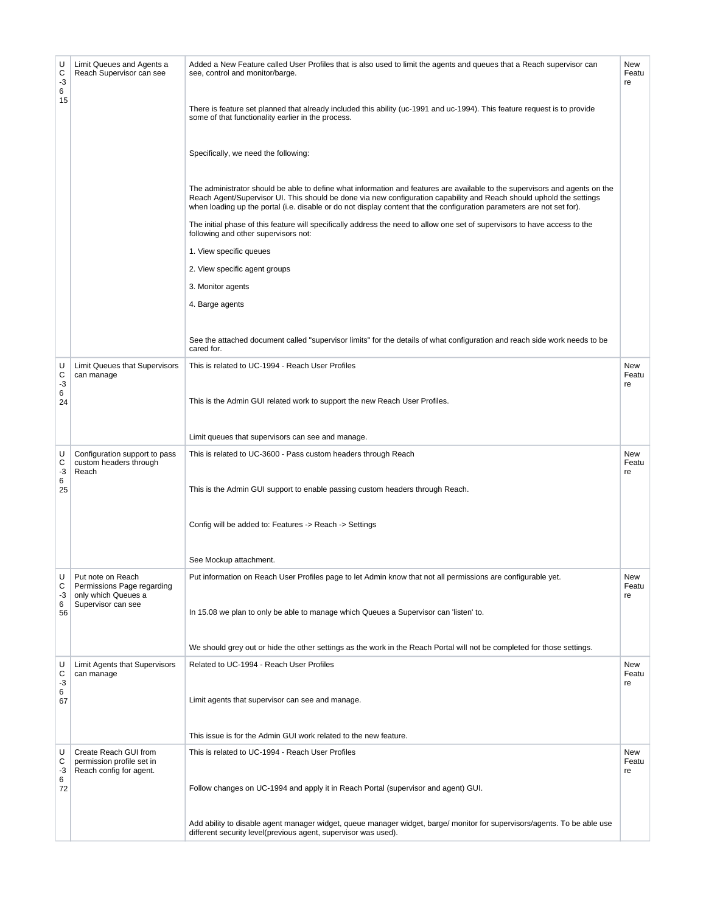| U<br>С<br>$-3$<br>6<br>15 | Limit Queues and Agents a<br>Reach Supervisor can see                                        | Added a New Feature called User Profiles that is also used to limit the agents and queues that a Reach supervisor can<br>see, control and monitor/barge.<br>There is feature set planned that already included this ability (uc-1991 and uc-1994). This feature request is to provide<br>some of that functionality earlier in the process.<br>Specifically, we need the following:<br>The administrator should be able to define what information and features are available to the supervisors and agents on the<br>Reach Agent/Supervisor UI. This should be done via new configuration capability and Reach should uphold the settings<br>when loading up the portal (i.e. disable or do not display content that the configuration parameters are not set for).<br>The initial phase of this feature will specifically address the need to allow one set of supervisors to have access to the<br>following and other supervisors not:<br>1. View specific queues<br>2. View specific agent groups<br>3. Monitor agents<br>4. Barge agents<br>See the attached document called "supervisor limits" for the details of what configuration and reach side work needs to be<br>cared for. | New<br>Featu<br>re |
|---------------------------|----------------------------------------------------------------------------------------------|--------------------------------------------------------------------------------------------------------------------------------------------------------------------------------------------------------------------------------------------------------------------------------------------------------------------------------------------------------------------------------------------------------------------------------------------------------------------------------------------------------------------------------------------------------------------------------------------------------------------------------------------------------------------------------------------------------------------------------------------------------------------------------------------------------------------------------------------------------------------------------------------------------------------------------------------------------------------------------------------------------------------------------------------------------------------------------------------------------------------------------------------------------------------------------------------|--------------------|
| U<br>С<br>-3<br>6<br>24   | Limit Queues that Supervisors<br>can manage                                                  | This is related to UC-1994 - Reach User Profiles<br>This is the Admin GUI related work to support the new Reach User Profiles.<br>Limit queues that supervisors can see and manage.                                                                                                                                                                                                                                                                                                                                                                                                                                                                                                                                                                                                                                                                                                                                                                                                                                                                                                                                                                                                        | New<br>Featu<br>re |
| U<br>С<br>-3<br>6<br>25   | Configuration support to pass<br>custom headers through<br>Reach                             | This is related to UC-3600 - Pass custom headers through Reach<br>This is the Admin GUI support to enable passing custom headers through Reach.<br>Config will be added to: Features -> Reach -> Settings<br>See Mockup attachment.                                                                                                                                                                                                                                                                                                                                                                                                                                                                                                                                                                                                                                                                                                                                                                                                                                                                                                                                                        | New<br>Featu<br>re |
| U<br>С<br>-3<br>6<br>56   | Put note on Reach<br>Permissions Page regarding<br>only which Queues a<br>Supervisor can see | Put information on Reach User Profiles page to let Admin know that not all permissions are configurable yet.<br>In 15.08 we plan to only be able to manage which Queues a Supervisor can 'listen' to.<br>We should grey out or hide the other settings as the work in the Reach Portal will not be completed for those settings.                                                                                                                                                                                                                                                                                                                                                                                                                                                                                                                                                                                                                                                                                                                                                                                                                                                           | New<br>Featu<br>re |
| U<br>С<br>$-3$<br>6<br>67 | Limit Agents that Supervisors<br>can manage                                                  | Related to UC-1994 - Reach User Profiles<br>Limit agents that supervisor can see and manage.<br>This issue is for the Admin GUI work related to the new feature.                                                                                                                                                                                                                                                                                                                                                                                                                                                                                                                                                                                                                                                                                                                                                                                                                                                                                                                                                                                                                           | New<br>Featu<br>re |
| U<br>С<br>-3<br>6<br>72   | Create Reach GUI from<br>permission profile set in<br>Reach config for agent.                | This is related to UC-1994 - Reach User Profiles<br>Follow changes on UC-1994 and apply it in Reach Portal (supervisor and agent) GUI.<br>Add ability to disable agent manager widget, queue manager widget, barge/monitor for supervisors/agents. To be able use<br>different security level(previous agent, supervisor was used).                                                                                                                                                                                                                                                                                                                                                                                                                                                                                                                                                                                                                                                                                                                                                                                                                                                        | New<br>Featu<br>re |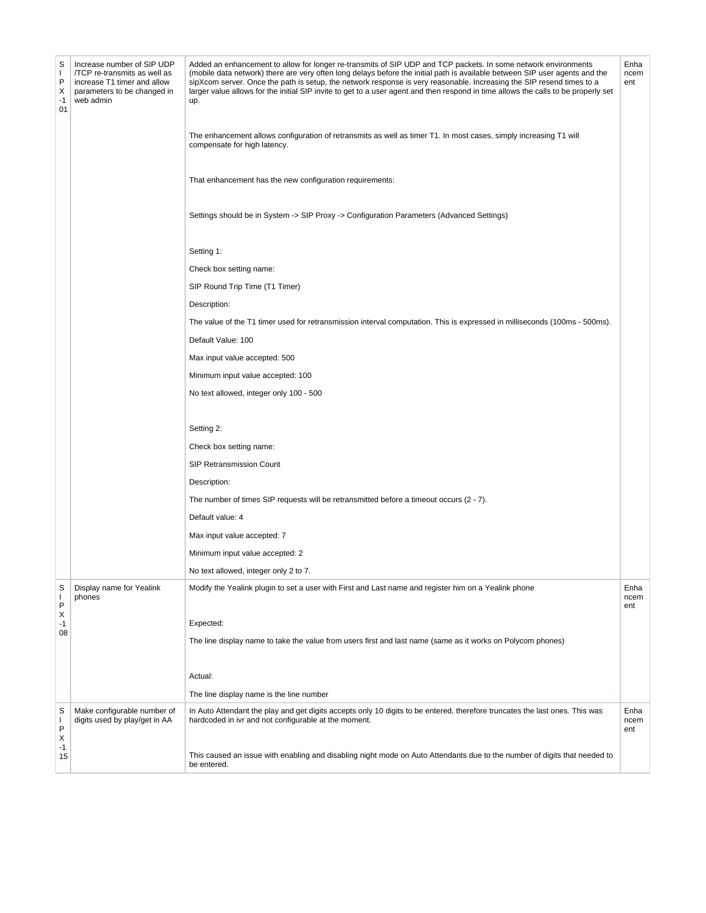| S<br>$\mathbf{I}$<br>P<br>Х<br>$-1$<br>01 | Increase number of SIP UDP<br>/TCP re-transmits as well as<br>increase T1 timer and allow<br>parameters to be changed in<br>web admin | Added an enhancement to allow for longer re-transmits of SIP UDP and TCP packets. In some network environments<br>(mobile data network) there are very often long delays before the initial path is available between SIP user agents and the<br>sipXcom server. Once the path is setup, the network response is very reasonable. Increasing the SIP resend times to a<br>larger value allows for the initial SIP invite to get to a user agent and then respond in time allows the calls to be properly set<br>up.<br>The enhancement allows configuration of retransmits as well as timer T1. In most cases, simply increasing T1 will<br>compensate for high latency.<br>That enhancement has the new configuration requirements:<br>Settings should be in System -> SIP Proxy -> Configuration Parameters (Advanced Settings)<br>Setting 1:<br>Check box setting name:<br>SIP Round Trip Time (T1 Timer)<br>Description:<br>The value of the T1 timer used for retransmission interval computation. This is expressed in milliseconds (100ms - 500ms).<br>Default Value: 100<br>Max input value accepted: 500<br>Minimum input value accepted: 100<br>No text allowed, integer only 100 - 500<br>Setting 2:<br>Check box setting name:<br><b>SIP Retransmission Count</b><br>Description:<br>The number of times SIP requests will be retransmitted before a timeout occurs $(2 - 7)$ .<br>Default value: 4<br>Max input value accepted: 7 | Enha<br>ncem<br>ent |
|-------------------------------------------|---------------------------------------------------------------------------------------------------------------------------------------|------------------------------------------------------------------------------------------------------------------------------------------------------------------------------------------------------------------------------------------------------------------------------------------------------------------------------------------------------------------------------------------------------------------------------------------------------------------------------------------------------------------------------------------------------------------------------------------------------------------------------------------------------------------------------------------------------------------------------------------------------------------------------------------------------------------------------------------------------------------------------------------------------------------------------------------------------------------------------------------------------------------------------------------------------------------------------------------------------------------------------------------------------------------------------------------------------------------------------------------------------------------------------------------------------------------------------------------------------------------------------------------------------------------------------------------------|---------------------|
|                                           |                                                                                                                                       | Minimum input value accepted: 2                                                                                                                                                                                                                                                                                                                                                                                                                                                                                                                                                                                                                                                                                                                                                                                                                                                                                                                                                                                                                                                                                                                                                                                                                                                                                                                                                                                                                |                     |
|                                           |                                                                                                                                       | No text allowed, integer only 2 to 7.                                                                                                                                                                                                                                                                                                                                                                                                                                                                                                                                                                                                                                                                                                                                                                                                                                                                                                                                                                                                                                                                                                                                                                                                                                                                                                                                                                                                          |                     |
| S<br>т<br>P                               | Display name for Yealink<br>phones                                                                                                    | Modify the Yealink plugin to set a user with First and Last name and register him on a Yealink phone                                                                                                                                                                                                                                                                                                                                                                                                                                                                                                                                                                                                                                                                                                                                                                                                                                                                                                                                                                                                                                                                                                                                                                                                                                                                                                                                           | Enha<br>ncem<br>ent |
| х<br>$-1$                                 |                                                                                                                                       | Expected:                                                                                                                                                                                                                                                                                                                                                                                                                                                                                                                                                                                                                                                                                                                                                                                                                                                                                                                                                                                                                                                                                                                                                                                                                                                                                                                                                                                                                                      |                     |
| 08                                        |                                                                                                                                       | The line display name to take the value from users first and last name (same as it works on Polycom phones)                                                                                                                                                                                                                                                                                                                                                                                                                                                                                                                                                                                                                                                                                                                                                                                                                                                                                                                                                                                                                                                                                                                                                                                                                                                                                                                                    |                     |
|                                           |                                                                                                                                       | Actual:                                                                                                                                                                                                                                                                                                                                                                                                                                                                                                                                                                                                                                                                                                                                                                                                                                                                                                                                                                                                                                                                                                                                                                                                                                                                                                                                                                                                                                        |                     |
|                                           |                                                                                                                                       |                                                                                                                                                                                                                                                                                                                                                                                                                                                                                                                                                                                                                                                                                                                                                                                                                                                                                                                                                                                                                                                                                                                                                                                                                                                                                                                                                                                                                                                |                     |
|                                           |                                                                                                                                       | The line display name is the line number                                                                                                                                                                                                                                                                                                                                                                                                                                                                                                                                                                                                                                                                                                                                                                                                                                                                                                                                                                                                                                                                                                                                                                                                                                                                                                                                                                                                       |                     |
| S<br>$\mathbf{I}$<br>P<br>Χ<br>-1         | Make configurable number of<br>digits used by play/get in AA                                                                          | In Auto Attendant the play and get digits accepts only 10 digits to be entered, therefore truncates the last ones. This was<br>hardcoded in ivr and not configurable at the moment.                                                                                                                                                                                                                                                                                                                                                                                                                                                                                                                                                                                                                                                                                                                                                                                                                                                                                                                                                                                                                                                                                                                                                                                                                                                            | Enha<br>ncem<br>ent |
| 15                                        |                                                                                                                                       | This caused an issue with enabling and disabling night mode on Auto Attendants due to the number of digits that needed to<br>be entered.                                                                                                                                                                                                                                                                                                                                                                                                                                                                                                                                                                                                                                                                                                                                                                                                                                                                                                                                                                                                                                                                                                                                                                                                                                                                                                       |                     |
|                                           |                                                                                                                                       |                                                                                                                                                                                                                                                                                                                                                                                                                                                                                                                                                                                                                                                                                                                                                                                                                                                                                                                                                                                                                                                                                                                                                                                                                                                                                                                                                                                                                                                |                     |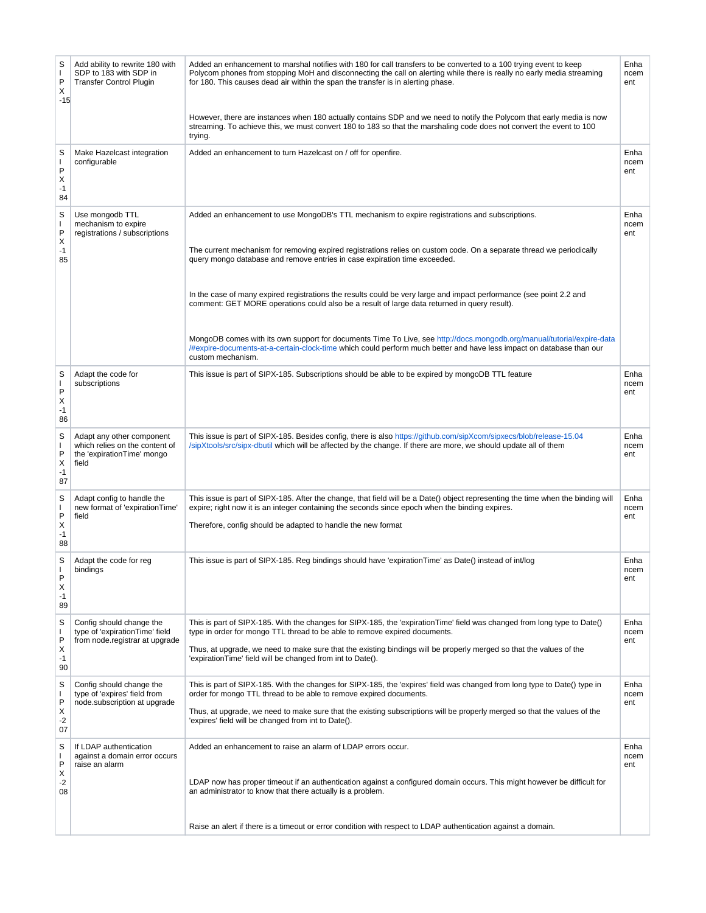| S<br>$\mathbf{I}$<br>P<br>Х<br>$-15$      | Add ability to rewrite 180 with<br>SDP to 183 with SDP in<br><b>Transfer Control Plugin</b>        | Added an enhancement to marshal notifies with 180 for call transfers to be converted to a 100 trying event to keep<br>Polycom phones from stopping MoH and disconnecting the call on alerting while there is really no early media streaming<br>for 180. This causes dead air within the span the transfer is in alerting phase.<br>However, there are instances when 180 actually contains SDP and we need to notify the Polycom that early media is now<br>streaming. To achieve this, we must convert 180 to 183 so that the marshaling code does not convert the event to 100<br>trying.                                                                                                                                                                                 | Enha<br>ncem<br>ent |
|-------------------------------------------|----------------------------------------------------------------------------------------------------|------------------------------------------------------------------------------------------------------------------------------------------------------------------------------------------------------------------------------------------------------------------------------------------------------------------------------------------------------------------------------------------------------------------------------------------------------------------------------------------------------------------------------------------------------------------------------------------------------------------------------------------------------------------------------------------------------------------------------------------------------------------------------|---------------------|
| S<br>$\mathbf{I}$<br>P<br>X<br>$-1$<br>84 | Make Hazelcast integration<br>configurable                                                         | Added an enhancement to turn Hazelcast on / off for openfire.                                                                                                                                                                                                                                                                                                                                                                                                                                                                                                                                                                                                                                                                                                                | Enha<br>ncem<br>ent |
| S<br>I.<br>P<br>Х<br>$-1$<br>85           | Use mongodb TTL<br>mechanism to expire<br>registrations / subscriptions                            | Added an enhancement to use MongoDB's TTL mechanism to expire registrations and subscriptions.<br>The current mechanism for removing expired registrations relies on custom code. On a separate thread we periodically<br>query mongo database and remove entries in case expiration time exceeded.<br>In the case of many expired registrations the results could be very large and impact performance (see point 2.2 and<br>comment: GET MORE operations could also be a result of large data returned in query result).<br>MongoDB comes with its own support for documents Time To Live, see http://docs.mongodb.org/manual/tutorial/expire-data<br>/#expire-documents-at-a-certain-clock-time which could perform much better and have less impact on database than our | Enha<br>ncem<br>ent |
| S<br>$\mathbf{I}$<br>P<br>Х<br>-1<br>86   | Adapt the code for<br>subscriptions                                                                | custom mechanism.<br>This issue is part of SIPX-185. Subscriptions should be able to be expired by mongoDB TTL feature                                                                                                                                                                                                                                                                                                                                                                                                                                                                                                                                                                                                                                                       | Enha<br>ncem<br>ent |
| S<br>$\mathbf{I}$<br>P<br>X<br>$-1$<br>87 | Adapt any other component<br>which relies on the content of<br>the 'expirationTime' mongo<br>field | This issue is part of SIPX-185. Besides config, there is also https://github.com/sipXcom/sipxecs/blob/release-15.04<br>/sipXtools/src/sipx-dbutil which will be affected by the change. If there are more, we should update all of them                                                                                                                                                                                                                                                                                                                                                                                                                                                                                                                                      | Enha<br>ncem<br>ent |
| S<br>$\mathbf{I}$<br>P<br>X<br>$-1$<br>88 | Adapt config to handle the<br>new format of 'expirationTime'<br>field                              | This issue is part of SIPX-185. After the change, that field will be a Date() object representing the time when the binding will<br>expire; right now it is an integer containing the seconds since epoch when the binding expires.<br>Therefore, config should be adapted to handle the new format                                                                                                                                                                                                                                                                                                                                                                                                                                                                          | Enha<br>ncem<br>ent |
| S<br>P<br>X<br>$-1$<br>89                 | Adapt the code for reg<br>bindings                                                                 | This issue is part of SIPX-185. Reg bindings should have 'expirationTime' as Date() instead of int/log                                                                                                                                                                                                                                                                                                                                                                                                                                                                                                                                                                                                                                                                       | Enha<br>ncem<br>ent |
| S<br>I.<br>P<br>Х<br>$-1$<br>90           | Config should change the<br>type of 'expirationTime' field<br>from node.registrar at upgrade       | This is part of SIPX-185. With the changes for SIPX-185, the 'expirationTime' field was changed from long type to Date()<br>type in order for mongo TTL thread to be able to remove expired documents.<br>Thus, at upgrade, we need to make sure that the existing bindings will be properly merged so that the values of the<br>'expirationTime' field will be changed from int to Date().                                                                                                                                                                                                                                                                                                                                                                                  | Enha<br>ncem<br>ent |
| S<br>$\mathbf{I}$<br>P<br>Х<br>$-2$<br>07 | Config should change the<br>type of 'expires' field from<br>node.subscription at upgrade           | This is part of SIPX-185. With the changes for SIPX-185, the 'expires' field was changed from long type to Date() type in<br>order for mongo TTL thread to be able to remove expired documents.<br>Thus, at upgrade, we need to make sure that the existing subscriptions will be properly merged so that the values of the<br>'expires' field will be changed from int to Date().                                                                                                                                                                                                                                                                                                                                                                                           | Enha<br>ncem<br>ent |
| S<br>$\mathbf{I}$<br>P<br>X<br>-2<br>08   | If LDAP authentication<br>against a domain error occurs<br>raise an alarm                          | Added an enhancement to raise an alarm of LDAP errors occur.<br>LDAP now has proper timeout if an authentication against a configured domain occurs. This might however be difficult for<br>an administrator to know that there actually is a problem.                                                                                                                                                                                                                                                                                                                                                                                                                                                                                                                       | Enha<br>ncem<br>ent |
|                                           |                                                                                                    | Raise an alert if there is a timeout or error condition with respect to LDAP authentication against a domain.                                                                                                                                                                                                                                                                                                                                                                                                                                                                                                                                                                                                                                                                |                     |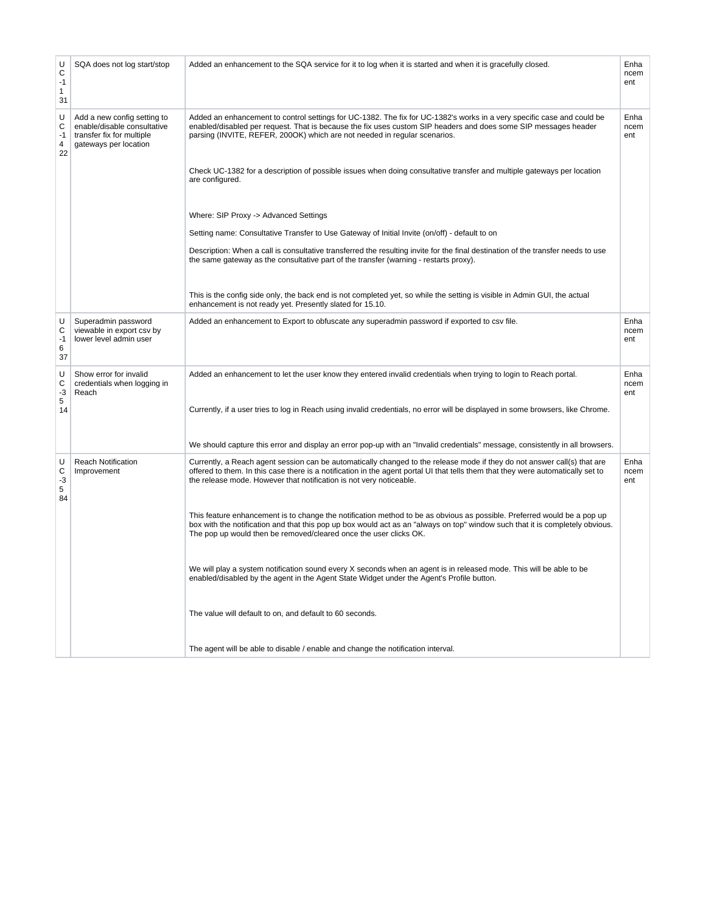| U<br>C<br>$-1$<br>1<br>31              | SQA does not log start/stop                                                                                      | Added an enhancement to the SQA service for it to log when it is started and when it is gracefully closed.                                                                                                                                                                                                                          | Enha<br>ncem<br>ent |
|----------------------------------------|------------------------------------------------------------------------------------------------------------------|-------------------------------------------------------------------------------------------------------------------------------------------------------------------------------------------------------------------------------------------------------------------------------------------------------------------------------------|---------------------|
| U<br>С<br>$-1$<br>$\overline{4}$<br>22 | Add a new config setting to<br>enable/disable consultative<br>transfer fix for multiple<br>gateways per location | Added an enhancement to control settings for UC-1382. The fix for UC-1382's works in a very specific case and could be<br>enabled/disabled per request. That is because the fix uses custom SIP headers and does some SIP messages header<br>parsing (INVITE, REFER, 200OK) which are not needed in regular scenarios.              | Enha<br>ncem<br>ent |
|                                        |                                                                                                                  | Check UC-1382 for a description of possible issues when doing consultative transfer and multiple gateways per location<br>are configured.                                                                                                                                                                                           |                     |
|                                        |                                                                                                                  | Where: SIP Proxy -> Advanced Settings                                                                                                                                                                                                                                                                                               |                     |
|                                        |                                                                                                                  | Setting name: Consultative Transfer to Use Gateway of Initial Invite (on/off) - default to on                                                                                                                                                                                                                                       |                     |
|                                        |                                                                                                                  | Description: When a call is consultative transferred the resulting invite for the final destination of the transfer needs to use<br>the same gateway as the consultative part of the transfer (warning - restarts proxy).                                                                                                           |                     |
|                                        |                                                                                                                  | This is the config side only, the back end is not completed yet, so while the setting is visible in Admin GUI, the actual<br>enhancement is not ready yet. Presently slated for 15.10.                                                                                                                                              |                     |
| U<br>C<br>$-1$<br>6<br>37              | Superadmin password<br>viewable in export csv by<br>lower level admin user                                       | Added an enhancement to Export to obfuscate any superadmin password if exported to csv file.                                                                                                                                                                                                                                        | Enha<br>ncem<br>ent |
| U<br>С<br>$-3$<br>5                    | Show error for invalid<br>credentials when logging in<br>Reach                                                   | Added an enhancement to let the user know they entered invalid credentials when trying to login to Reach portal.                                                                                                                                                                                                                    | Enha<br>ncem<br>ent |
| 14                                     |                                                                                                                  | Currently, if a user tries to log in Reach using invalid credentials, no error will be displayed in some browsers, like Chrome.                                                                                                                                                                                                     |                     |
|                                        |                                                                                                                  | We should capture this error and display an error pop-up with an "Invalid credentials" message, consistently in all browsers.                                                                                                                                                                                                       |                     |
| U<br>С<br>$-3$<br>5<br>84              | Reach Notification<br>Improvement                                                                                | Currently, a Reach agent session can be automatically changed to the release mode if they do not answer call(s) that are<br>offered to them. In this case there is a notification in the agent portal UI that tells them that they were automatically set to<br>the release mode. However that notification is not very noticeable. | Enha<br>ncem<br>ent |
|                                        |                                                                                                                  | This feature enhancement is to change the notification method to be as obvious as possible. Preferred would be a pop up<br>box with the notification and that this pop up box would act as an "always on top" window such that it is completely obvious.<br>The pop up would then be removed/cleared once the user clicks OK.       |                     |
|                                        |                                                                                                                  | We will play a system notification sound every X seconds when an agent is in released mode. This will be able to be<br>enabled/disabled by the agent in the Agent State Widget under the Agent's Profile button.                                                                                                                    |                     |
|                                        |                                                                                                                  | The value will default to on, and default to 60 seconds.                                                                                                                                                                                                                                                                            |                     |
|                                        |                                                                                                                  | The agent will be able to disable / enable and change the notification interval.                                                                                                                                                                                                                                                    |                     |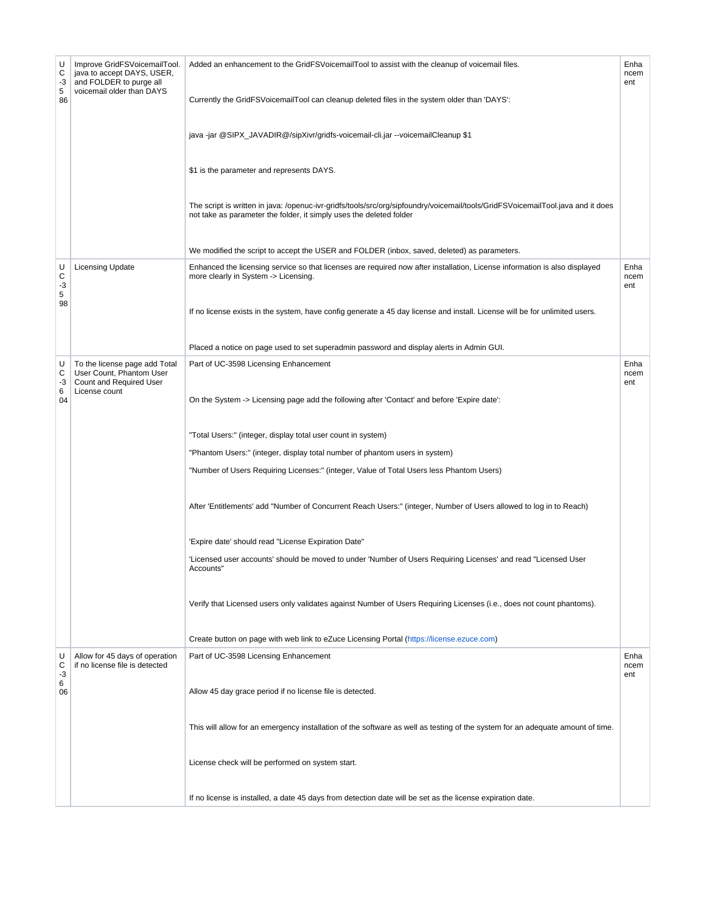| U<br>С<br>$-3$<br>5<br>86 | Improve GridFSVoicemailTool.<br>java to accept DAYS, USER,<br>and FOLDER to purge all<br>voicemail older than DAYS | Added an enhancement to the GridFSVoicemailTool to assist with the cleanup of voicemail files.<br>Currently the GridFSVoicemailTool can cleanup deleted files in the system older than 'DAYS':<br>java -jar @SIPX_JAVADIR@/sipXivr/gridfs-voicemail-cli.jar --voicemailCleanup \$1<br>\$1 is the parameter and represents DAYS.<br>The script is written in java: /openuc-ivr-gridfs/tools/src/org/sipfoundry/voicemail/tools/GridFSVoicemailTool.java and it does<br>not take as parameter the folder, it simply uses the deleted folder<br>We modified the script to accept the USER and FOLDER (inbox, saved, deleted) as parameters.                                                                                                                                                                                                                                                                          | Enha<br>ncem<br>ent |
|---------------------------|--------------------------------------------------------------------------------------------------------------------|-------------------------------------------------------------------------------------------------------------------------------------------------------------------------------------------------------------------------------------------------------------------------------------------------------------------------------------------------------------------------------------------------------------------------------------------------------------------------------------------------------------------------------------------------------------------------------------------------------------------------------------------------------------------------------------------------------------------------------------------------------------------------------------------------------------------------------------------------------------------------------------------------------------------|---------------------|
| U<br>C<br>$-3$<br>5<br>98 | <b>Licensing Update</b>                                                                                            | Enhanced the licensing service so that licenses are required now after installation, License information is also displayed<br>more clearly in System -> Licensing.<br>If no license exists in the system, have config generate a 45 day license and install. License will be for unlimited users.<br>Placed a notice on page used to set superadmin password and display alerts in Admin GUI.                                                                                                                                                                                                                                                                                                                                                                                                                                                                                                                     | Enha<br>ncem<br>ent |
| U<br>С<br>-3<br>6<br>04   | To the license page add Total<br>User Count, Phantom User<br>Count and Required User<br>License count              | Part of UC-3598 Licensing Enhancement<br>On the System -> Licensing page add the following after 'Contact' and before 'Expire date':<br>"Total Users:" (integer, display total user count in system)<br>"Phantom Users:" (integer, display total number of phantom users in system)<br>"Number of Users Requiring Licenses:" (integer, Value of Total Users less Phantom Users)<br>After 'Entitlements' add "Number of Concurrent Reach Users:" (integer, Number of Users allowed to log in to Reach)<br>'Expire date' should read "License Expiration Date"<br>'Licensed user accounts' should be moved to under 'Number of Users Requiring Licenses' and read "Licensed User<br>Accounts"<br>Verify that Licensed users only validates against Number of Users Requiring Licenses (i.e., does not count phantoms).<br>Create button on page with web link to eZuce Licensing Portal (https://license.ezuce.com) | Enha<br>ncem<br>ent |
| U<br>С<br>-3<br>6<br>06   | Allow for 45 days of operation<br>if no license file is detected                                                   | Part of UC-3598 Licensing Enhancement<br>Allow 45 day grace period if no license file is detected.<br>This will allow for an emergency installation of the software as well as testing of the system for an adequate amount of time.<br>License check will be performed on system start.<br>If no license is installed, a date 45 days from detection date will be set as the license expiration date.                                                                                                                                                                                                                                                                                                                                                                                                                                                                                                            | Enha<br>ncem<br>ent |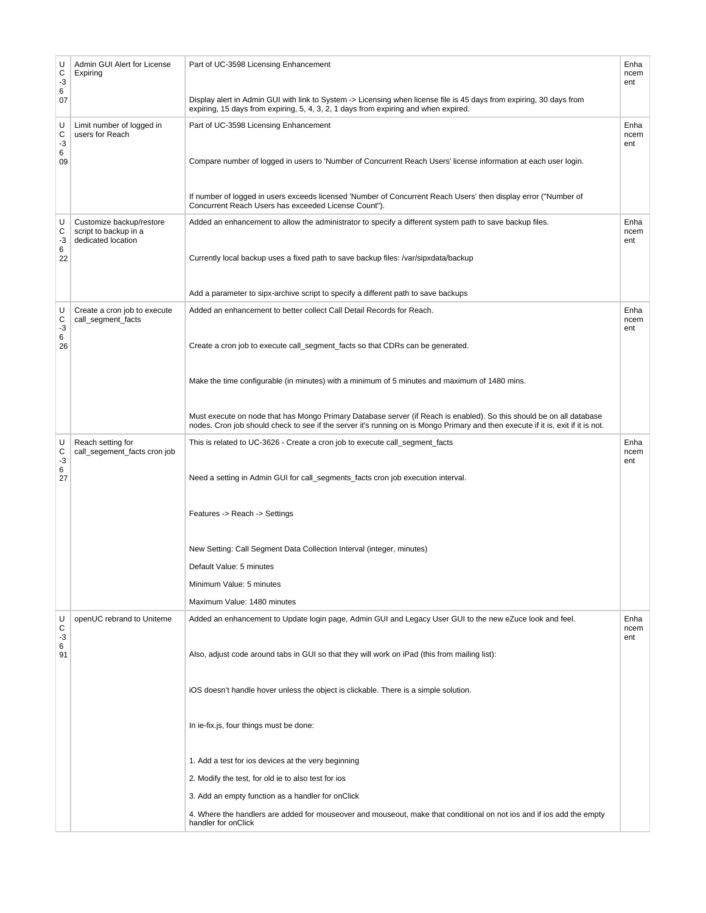| U<br>С<br>$-3$<br>6<br>07 | Admin GUI Alert for License<br>Expiring                                 | Part of UC-3598 Licensing Enhancement<br>Display alert in Admin GUI with link to System -> Licensing when license file is 45 days from expiring, 30 days from<br>expiring, 15 days from expiring, 5, 4, 3, 2, 1 days from expiring and when expired.     | Enha<br>ncem<br>ent |
|---------------------------|-------------------------------------------------------------------------|----------------------------------------------------------------------------------------------------------------------------------------------------------------------------------------------------------------------------------------------------------|---------------------|
| U<br>С<br>-3<br>6<br>09   | Limit number of logged in<br>users for Reach                            | Part of UC-3598 Licensing Enhancement<br>Compare number of logged in users to 'Number of Concurrent Reach Users' license information at each user login.                                                                                                 | Enha<br>ncem<br>ent |
|                           |                                                                         | If number of logged in users exceeds licensed 'Number of Concurrent Reach Users' then display error ("Number of<br>Concurrent Reach Users has exceeded License Count").                                                                                  |                     |
| U<br>С<br>-3<br>6         | Customize backup/restore<br>script to backup in a<br>dedicated location | Added an enhancement to allow the administrator to specify a different system path to save backup files.                                                                                                                                                 | Enha<br>ncem<br>ent |
| 22                        |                                                                         | Currently local backup uses a fixed path to save backup files: /var/sipxdata/backup                                                                                                                                                                      |                     |
|                           |                                                                         | Add a parameter to sipx-archive script to specify a different path to save backups                                                                                                                                                                       |                     |
| U<br>C<br>$-3$<br>6<br>26 | Create a cron job to execute<br>call_segment_facts                      | Added an enhancement to better collect Call Detail Records for Reach.<br>Create a cron job to execute call_segment_facts so that CDRs can be generated.                                                                                                  | Enha<br>ncem<br>ent |
|                           |                                                                         |                                                                                                                                                                                                                                                          |                     |
|                           |                                                                         | Make the time configurable (in minutes) with a minimum of 5 minutes and maximum of 1480 mins.                                                                                                                                                            |                     |
|                           |                                                                         | Must execute on node that has Mongo Primary Database server (if Reach is enabled). So this should be on all database<br>nodes. Cron job should check to see if the server it's running on is Mongo Primary and then execute if it is, exit if it is not. |                     |
| U<br>C<br>$-3$<br>6<br>27 | Reach setting for<br>call_segement_facts cron job                       | This is related to UC-3626 - Create a cron job to execute call_segment_facts<br>Need a setting in Admin GUI for call_segments_facts cron job execution interval.                                                                                         | Enha<br>ncem<br>ent |
|                           |                                                                         | Features -> Reach -> Settings                                                                                                                                                                                                                            |                     |
|                           |                                                                         | New Setting: Call Segment Data Collection Interval (integer, minutes)                                                                                                                                                                                    |                     |
|                           |                                                                         | Default Value: 5 minutes                                                                                                                                                                                                                                 |                     |
|                           |                                                                         | Minimum Value: 5 minutes                                                                                                                                                                                                                                 |                     |
|                           |                                                                         | Maximum Value: 1480 minutes                                                                                                                                                                                                                              |                     |
| U<br>С<br>-3<br>6         | openUC rebrand to Uniteme                                               | Added an enhancement to Update login page, Admin GUI and Legacy User GUI to the new eZuce look and feel.                                                                                                                                                 | Enha<br>ncem<br>ent |
| 91                        |                                                                         | Also, adjust code around tabs in GUI so that they will work on iPad (this from mailing list):                                                                                                                                                            |                     |
|                           |                                                                         | iOS doesn't handle hover unless the object is clickable. There is a simple solution.                                                                                                                                                                     |                     |
|                           |                                                                         | In ie-fix.js, four things must be done:                                                                                                                                                                                                                  |                     |
|                           |                                                                         | 1. Add a test for ios devices at the very beginning                                                                                                                                                                                                      |                     |
|                           |                                                                         | 2. Modify the test, for old ie to also test for ios                                                                                                                                                                                                      |                     |
|                           |                                                                         | 3. Add an empty function as a handler for onClick                                                                                                                                                                                                        |                     |
|                           |                                                                         | 4. Where the handlers are added for mouseover and mouseout, make that conditional on not ios and if ios add the empty<br>handler for onClick                                                                                                             |                     |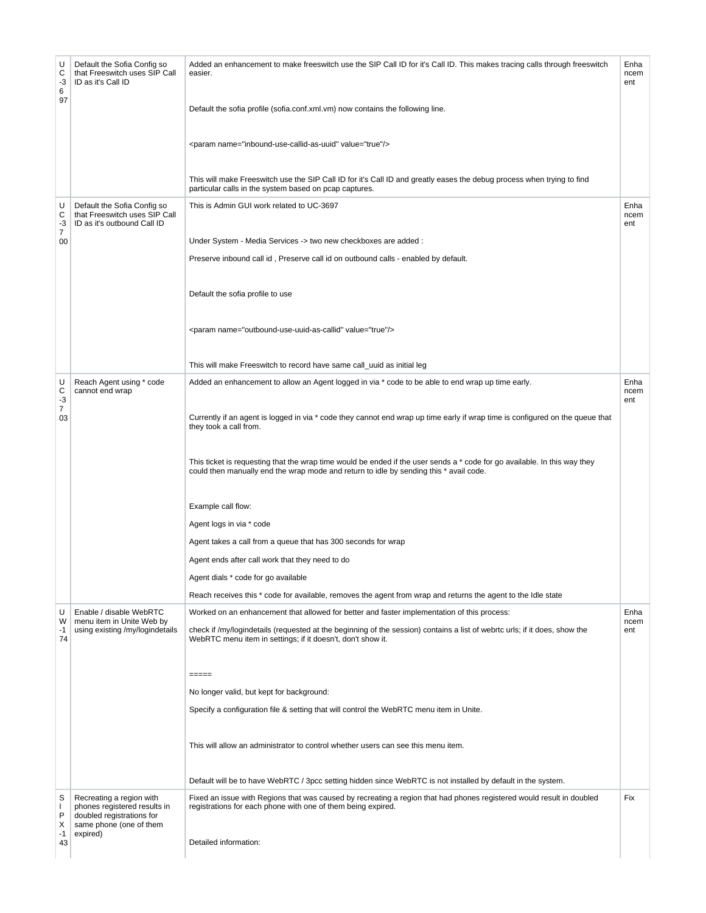| U<br>С<br>$-3$<br>6<br>97            | Default the Sofia Config so<br>that Freeswitch uses SIP Call<br>ID as it's Call ID                                           | Added an enhancement to make freeswitch use the SIP Call ID for it's Call ID. This makes tracing calls through freeswitch<br>easier.<br>Default the sofia profile (sofia.conf.xml.vm) now contains the following line.<br><param name="inbound-use-callid-as-uuid" value="true"/><br>This will make Freeswitch use the SIP Call ID for it's Call ID and greatly eases the debug process when trying to find<br>particular calls in the system based on pcap captures.                                                                                                                                                                                                                                                                                                                                             | Enha<br>ncem<br>ent |
|--------------------------------------|------------------------------------------------------------------------------------------------------------------------------|-------------------------------------------------------------------------------------------------------------------------------------------------------------------------------------------------------------------------------------------------------------------------------------------------------------------------------------------------------------------------------------------------------------------------------------------------------------------------------------------------------------------------------------------------------------------------------------------------------------------------------------------------------------------------------------------------------------------------------------------------------------------------------------------------------------------|---------------------|
| U<br>С<br>-3<br>$\overline{7}$<br>00 | Default the Sofia Config so<br>that Freeswitch uses SIP Call<br>ID as it's outbound Call ID                                  | This is Admin GUI work related to UC-3697<br>Under System - Media Services -> two new checkboxes are added :<br>Preserve inbound call id, Preserve call id on outbound calls - enabled by default.<br>Default the sofia profile to use<br><param name="outbound-use-uuid-as-callid" value="true"/><br>This will make Freeswitch to record have same call_uuid as initial leg                                                                                                                                                                                                                                                                                                                                                                                                                                      | Enha<br>ncem<br>ent |
| U<br>С<br>$-3$<br>7<br>03            | Reach Agent using * code<br>cannot end wrap                                                                                  | Added an enhancement to allow an Agent logged in via * code to be able to end wrap up time early.<br>Currently if an agent is logged in via * code they cannot end wrap up time early if wrap time is configured on the queue that<br>they took a call from.<br>This ticket is requesting that the wrap time would be ended if the user sends a * code for go available. In this way they<br>could then manually end the wrap mode and return to idle by sending this * avail code.<br>Example call flow:<br>Agent logs in via * code<br>Agent takes a call from a queue that has 300 seconds for wrap<br>Agent ends after call work that they need to do<br>Agent dials * code for go available<br>Reach receives this * code for available, removes the agent from wrap and returns the agent to the Idle state | Enha<br>ncem<br>ent |
| U<br>W<br>$-1$<br>74                 | Enable / disable WebRTC<br>menu item in Unite Web by<br>using existing /my/logindetails                                      | Worked on an enhancement that allowed for better and faster implementation of this process:<br>check if /my/logindetails (requested at the beginning of the session) contains a list of webrtc urls; if it does, show the<br>WebRTC menu item in settings; if it doesn't, don't show it.<br>$= = = = =$<br>No longer valid, but kept for background:<br>Specify a configuration file & setting that will control the WebRTC menu item in Unite.<br>This will allow an administrator to control whether users can see this menu item.<br>Default will be to have WebRTC / 3pcc setting hidden since WebRTC is not installed by default in the system.                                                                                                                                                              | Enha<br>ncem<br>ent |
| S<br>I.<br>P<br>Х<br>$-1$<br>43      | Recreating a region with<br>phones registered results in<br>doubled registrations for<br>same phone (one of them<br>expired) | Fixed an issue with Regions that was caused by recreating a region that had phones registered would result in doubled<br>registrations for each phone with one of them being expired.<br>Detailed information:                                                                                                                                                                                                                                                                                                                                                                                                                                                                                                                                                                                                    | Fix                 |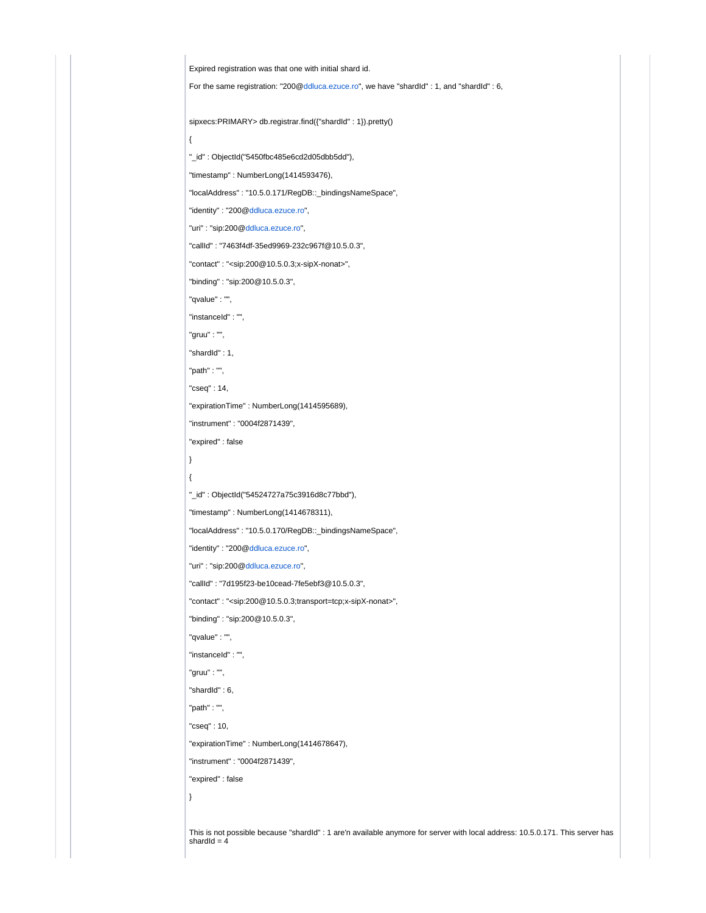Expired registration was that one with initial shard id.

For the same registration: "200[@ddluca.ezuce.ro](http://ddluca.ezuce.ro)", we have "shardId" : 1, and "shardId" : 6,

sipxecs:PRIMARY> db.registrar.find({"shardId" : 1}).pretty()

"\_id" : ObjectId("5450fbc485e6cd2d05dbb5dd"),

"timestamp" : NumberLong(1414593476),

"localAddress" : "10.5.0.171/RegDB::\_bindingsNameSpace",

"identity" : "200[@ddluca.ezuce.ro](http://ddluca.ezuce.ro)",

"uri" : "sip:200[@ddluca.ezuce.ro"](http://ddluca.ezuce.ro),

"callId" : "7463f4df-35ed9969-232c967f@10.5.0.3",

"contact" : "<sip:200@10.5.0.3;x-sipX-nonat>",

"binding" : "sip:200@10.5.0.3",

"qvalue" : "",

"instanceId" : "",

"gruu" : "",

{

"shardId" : 1,

"path" : "",

"cseq" : 14,

"expirationTime" : NumberLong(1414595689),

"instrument" : "0004f2871439",

"expired" : false

} {

"\_id" : ObjectId("54524727a75c3916d8c77bbd"),

"timestamp" : NumberLong(1414678311),

"localAddress" : "10.5.0.170/RegDB::\_bindingsNameSpace",

"identity" : "200[@ddluca.ezuce.ro](http://ddluca.ezuce.ro)",

"uri" : "sip:200[@ddluca.ezuce.ro"](http://ddluca.ezuce.ro),

"callId" : "7d195f23-be10cead-7fe5ebf3@10.5.0.3",

"contact" : "<sip:200@10.5.0.3;transport=tcp;x-sipX-nonat>",

"binding" : "sip:200@10.5.0.3",

"qvalue" : "",

"instanceId" : "",

"gruu" : "",

"shardId" : 6,

"path" : "",

"cseq" : 10,

"expirationTime" : NumberLong(1414678647),

"instrument" : "0004f2871439",

"expired" : false

}

This is not possible because "shardId" : 1 are'n available anymore for server with local address: 10.5.0.171. This server has  $shardId = 4$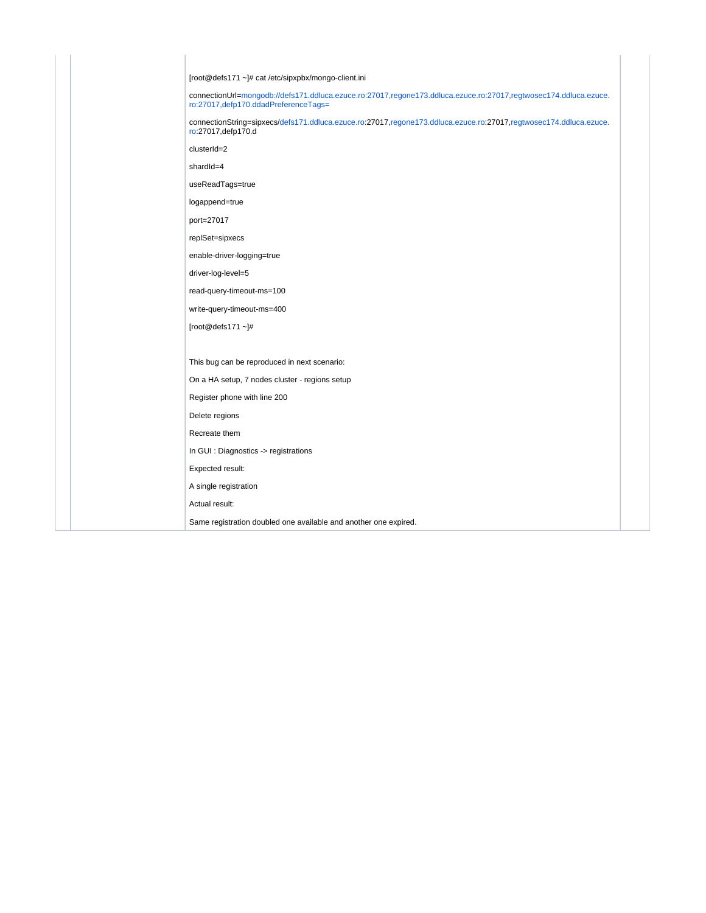| [root@defs171 ~]# cat /etc/sipxpbx/mongo-client.ini                                                                                                       |
|-----------------------------------------------------------------------------------------------------------------------------------------------------------|
| connectionUrl=mongodb://defs171.ddluca.ezuce.ro:27017,regone173.ddluca.ezuce.ro:27017,regtwosec174.ddluca.ezuce.<br>ro:27017, defp170.ddadPreferenceTags= |
| connectionString=sipxecs/defs171.ddluca.ezuce.ro:27017,regone173.ddluca.ezuce.ro:27017,regtwosec174.ddluca.ezuce.<br>ro:27017, defp170.d                  |
| clusterId=2                                                                                                                                               |
| shardId=4                                                                                                                                                 |
| useReadTags=true                                                                                                                                          |
| logappend=true                                                                                                                                            |
| port=27017                                                                                                                                                |
| replSet=sipxecs                                                                                                                                           |
| enable-driver-logging=true                                                                                                                                |
| driver-log-level=5                                                                                                                                        |
| read-query-timeout-ms=100                                                                                                                                 |
| write-query-timeout-ms=400                                                                                                                                |
| [root@defs171 $~$ ~]#                                                                                                                                     |
|                                                                                                                                                           |
| This bug can be reproduced in next scenario:                                                                                                              |
| On a HA setup, 7 nodes cluster - regions setup                                                                                                            |
| Register phone with line 200                                                                                                                              |
| Delete regions                                                                                                                                            |
| Recreate them                                                                                                                                             |
| In GUI : Diagnostics -> registrations                                                                                                                     |
| Expected result:                                                                                                                                          |
| A single registration                                                                                                                                     |
| Actual result:                                                                                                                                            |
| Same registration doubled one available and another one expired.                                                                                          |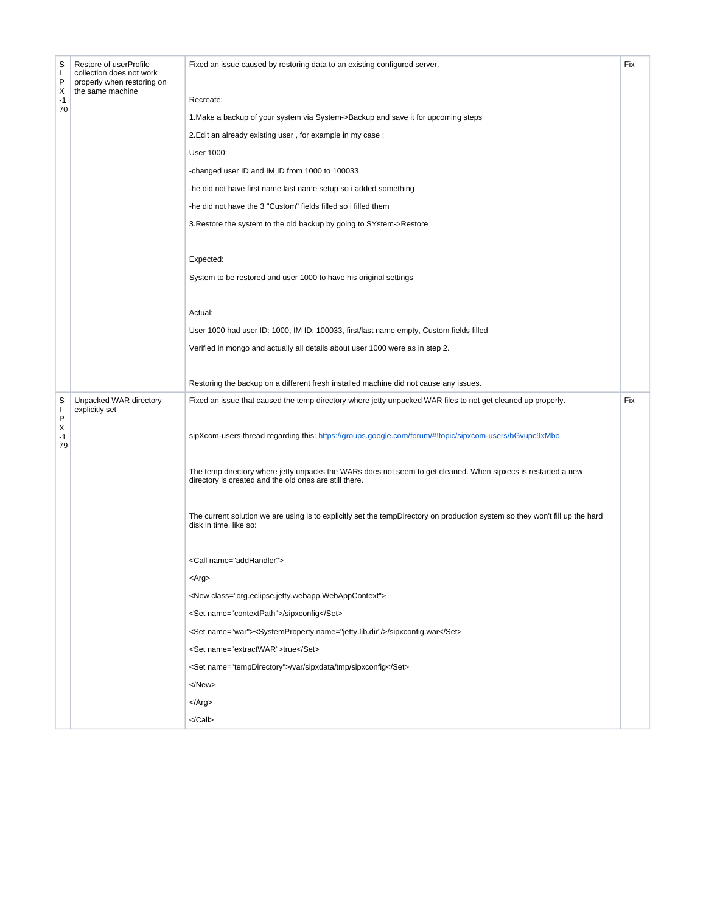| S<br>$\mathbf{I}$<br>P<br>Х<br>$-1$<br>70 | Restore of userProfile<br>collection does not work<br>properly when restoring on<br>the same machine | Fixed an issue caused by restoring data to an existing configured server.<br>Recreate:<br>1. Make a backup of your system via System->Backup and save it for upcoming steps<br>2. Edit an already existing user, for example in my case:<br>User 1000:<br>-changed user ID and IM ID from 1000 to 100033<br>-he did not have first name last name setup so i added something<br>-he did not have the 3 "Custom" fields filled so i filled them<br>3. Restore the system to the old backup by going to SYstem->Restore<br>Expected:<br>System to be restored and user 1000 to have his original settings<br>Actual:<br>User 1000 had user ID: 1000, IM ID: 100033, first/last name empty, Custom fields filled<br>Verified in mongo and actually all details about user 1000 were as in step 2. | Fix |
|-------------------------------------------|------------------------------------------------------------------------------------------------------|------------------------------------------------------------------------------------------------------------------------------------------------------------------------------------------------------------------------------------------------------------------------------------------------------------------------------------------------------------------------------------------------------------------------------------------------------------------------------------------------------------------------------------------------------------------------------------------------------------------------------------------------------------------------------------------------------------------------------------------------------------------------------------------------|-----|
|                                           |                                                                                                      | Restoring the backup on a different fresh installed machine did not cause any issues.                                                                                                                                                                                                                                                                                                                                                                                                                                                                                                                                                                                                                                                                                                          |     |
| S<br>T<br>P<br>Х<br>$-1$<br>79            | Unpacked WAR directory<br>explicitly set                                                             | Fixed an issue that caused the temp directory where jetty unpacked WAR files to not get cleaned up properly.<br>sipXcom-users thread regarding this: https://groups.google.com/forum/#!topic/sipxcom-users/bGvupc9xMbo<br>The temp directory where jetty unpacks the WARs does not seem to get cleaned. When sipxecs is restarted a new<br>directory is created and the old ones are still there.<br>The current solution we are using is to explicitly set the tempDirectory on production system so they won't fill up the hard<br>disk in time, like so:                                                                                                                                                                                                                                    | Fix |
|                                           |                                                                                                      | <call name="addHandler"><br/><arg><br/><new class="org.eclipse.jetty.webapp.WebAppContext"><br/><set name="contextPath">/sipxconfig</set><br/><set name="war"><systemproperty name="jetty.lib.dir"></systemproperty>/sipxconfig.war</set><br/><set name="extractWAR">true</set><br/><set name="tempDirectory">/var/sipxdata/tmp/sipxconfig</set><br/></new><br/><math>\langle</math>Arg<math>&gt;</math><br/></arg></call>                                                                                                                                                                                                                                                                                                                                                                     |     |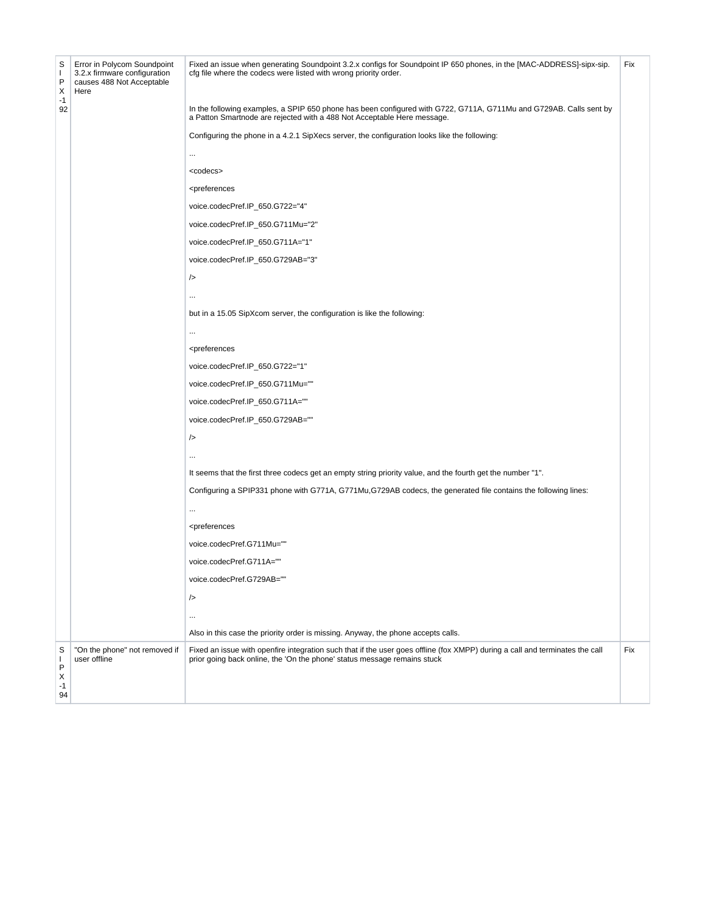| S<br>$\mathbf{I}$<br>P<br>Χ  | Error in Polycom Soundpoint<br>3.2.x firmware configuration<br>causes 488 Not Acceptable<br>Here | Fixed an issue when generating Soundpoint 3.2.x configs for Soundpoint IP 650 phones, in the [MAC-ADDRESS]-sipx-sip.<br>cfg file where the codecs were listed with wrong priority order.                 | Fix |
|------------------------------|--------------------------------------------------------------------------------------------------|----------------------------------------------------------------------------------------------------------------------------------------------------------------------------------------------------------|-----|
| $-1$<br>92                   |                                                                                                  | In the following examples, a SPIP 650 phone has been configured with G722, G711A, G711Mu and G729AB. Calls sent by<br>a Patton Smartnode are rejected with a 488 Not Acceptable Here message.            |     |
|                              |                                                                                                  | Configuring the phone in a 4.2.1 SipXecs server, the configuration looks like the following:                                                                                                             |     |
|                              |                                                                                                  |                                                                                                                                                                                                          |     |
|                              |                                                                                                  | <codecs></codecs>                                                                                                                                                                                        |     |
|                              |                                                                                                  | <preferences< td=""><td></td></preferences<>                                                                                                                                                             |     |
|                              |                                                                                                  | voice.codecPref.IP_650.G722="4"                                                                                                                                                                          |     |
|                              |                                                                                                  | voice.codecPref.IP_650.G711Mu="2"                                                                                                                                                                        |     |
|                              |                                                                                                  | voice.codecPref.IP_650.G711A="1"                                                                                                                                                                         |     |
|                              |                                                                                                  | voice.codecPref.IP_650.G729AB="3"                                                                                                                                                                        |     |
|                              |                                                                                                  | />                                                                                                                                                                                                       |     |
|                              |                                                                                                  |                                                                                                                                                                                                          |     |
|                              |                                                                                                  | but in a 15.05 SipXcom server, the configuration is like the following:                                                                                                                                  |     |
|                              |                                                                                                  |                                                                                                                                                                                                          |     |
|                              |                                                                                                  | <preferences< td=""><td></td></preferences<>                                                                                                                                                             |     |
|                              |                                                                                                  | voice.codecPref.IP_650.G722="1"                                                                                                                                                                          |     |
|                              |                                                                                                  | voice.codecPref.IP_650.G711Mu=""                                                                                                                                                                         |     |
|                              |                                                                                                  | voice.codecPref.IP_650.G711A=""                                                                                                                                                                          |     |
|                              |                                                                                                  | voice.codecPref.IP_650.G729AB=""                                                                                                                                                                         |     |
|                              |                                                                                                  | />                                                                                                                                                                                                       |     |
|                              |                                                                                                  |                                                                                                                                                                                                          |     |
|                              |                                                                                                  | It seems that the first three codecs get an empty string priority value, and the fourth get the number "1".                                                                                              |     |
|                              |                                                                                                  | Configuring a SPIP331 phone with G771A, G771Mu, G729AB codecs, the generated file contains the following lines:                                                                                          |     |
|                              |                                                                                                  |                                                                                                                                                                                                          |     |
|                              |                                                                                                  | <preferences< td=""><td></td></preferences<>                                                                                                                                                             |     |
|                              |                                                                                                  | voice.codecPref.G711Mu=""                                                                                                                                                                                |     |
|                              |                                                                                                  | voice.codecPref.G711A=""                                                                                                                                                                                 |     |
|                              |                                                                                                  | voice.codecPref.G729AB=""                                                                                                                                                                                |     |
|                              |                                                                                                  | />                                                                                                                                                                                                       |     |
|                              |                                                                                                  |                                                                                                                                                                                                          |     |
|                              |                                                                                                  | Also in this case the priority order is missing. Anyway, the phone accepts calls.                                                                                                                        |     |
| S<br>т<br>P<br>х<br>-1<br>94 | "On the phone" not removed if<br>user offline                                                    | Fixed an issue with openfire integration such that if the user goes offline (fox XMPP) during a call and terminates the call<br>prior going back online, the 'On the phone' status message remains stuck | Fix |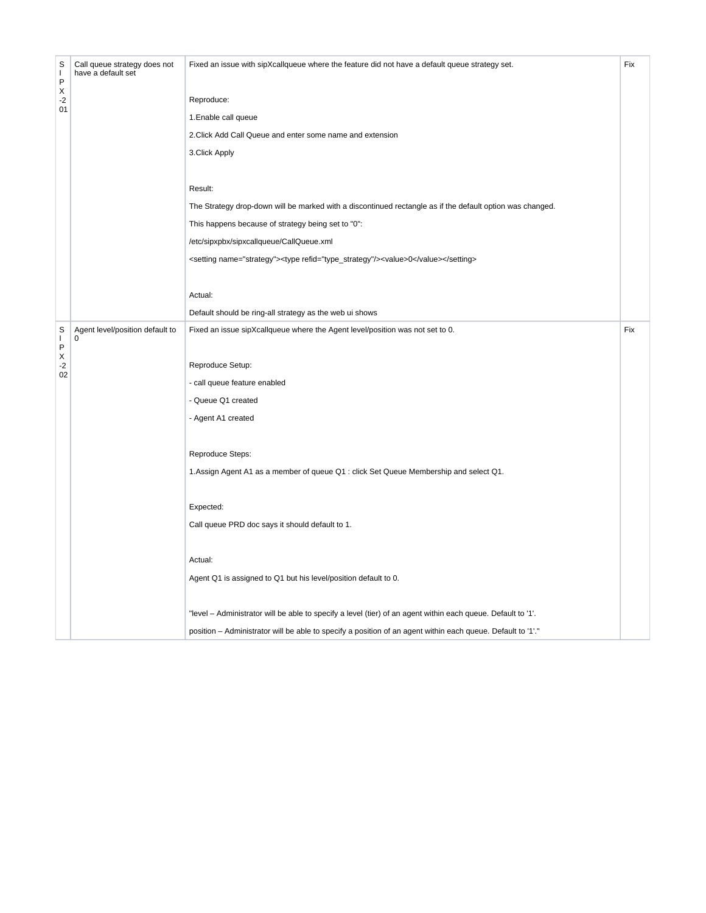| S<br>$\mathbf{I}$<br>P | Call queue strategy does not<br>have a default set | Fixed an issue with sipXcallqueue where the feature did not have a default queue strategy set.               | Fix |
|------------------------|----------------------------------------------------|--------------------------------------------------------------------------------------------------------------|-----|
| Χ<br>-2                |                                                    | Reproduce:                                                                                                   |     |
| 01                     |                                                    | 1. Enable call queue                                                                                         |     |
|                        |                                                    | 2. Click Add Call Queue and enter some name and extension                                                    |     |
|                        |                                                    | 3. Click Apply                                                                                               |     |
|                        |                                                    | Result:                                                                                                      |     |
|                        |                                                    | The Strategy drop-down will be marked with a discontinued rectangle as if the default option was changed.    |     |
|                        |                                                    | This happens because of strategy being set to "0":                                                           |     |
|                        |                                                    | /etc/sipxpbx/sipxcallqueue/CallQueue.xml                                                                     |     |
|                        |                                                    | <setting name="strategy"><type refid="type_strategy"></type><value>0</value></setting>                       |     |
|                        |                                                    | Actual:                                                                                                      |     |
|                        |                                                    | Default should be ring-all strategy as the web ui shows                                                      |     |
| S<br>L<br>P            | Agent level/position default to<br>0               | Fixed an issue sipXcallqueue where the Agent level/position was not set to 0.                                | Fix |
| Χ<br>$-2$              |                                                    | Reproduce Setup:                                                                                             |     |
| 02                     |                                                    | - call queue feature enabled                                                                                 |     |
|                        |                                                    | - Queue Q1 created                                                                                           |     |
|                        |                                                    | - Agent A1 created                                                                                           |     |
|                        |                                                    | Reproduce Steps:                                                                                             |     |
|                        |                                                    | 1. Assign Agent A1 as a member of queue Q1 : click Set Queue Membership and select Q1.                       |     |
|                        |                                                    | Expected:                                                                                                    |     |
|                        |                                                    | Call queue PRD doc says it should default to 1.                                                              |     |
|                        |                                                    | Actual:                                                                                                      |     |
|                        |                                                    | Agent Q1 is assigned to Q1 but his level/position default to 0.                                              |     |
|                        |                                                    | "level – Administrator will be able to specify a level (tier) of an agent within each queue. Default to '1'. |     |
|                        |                                                    | position - Administrator will be able to specify a position of an agent within each queue. Default to '1'."  |     |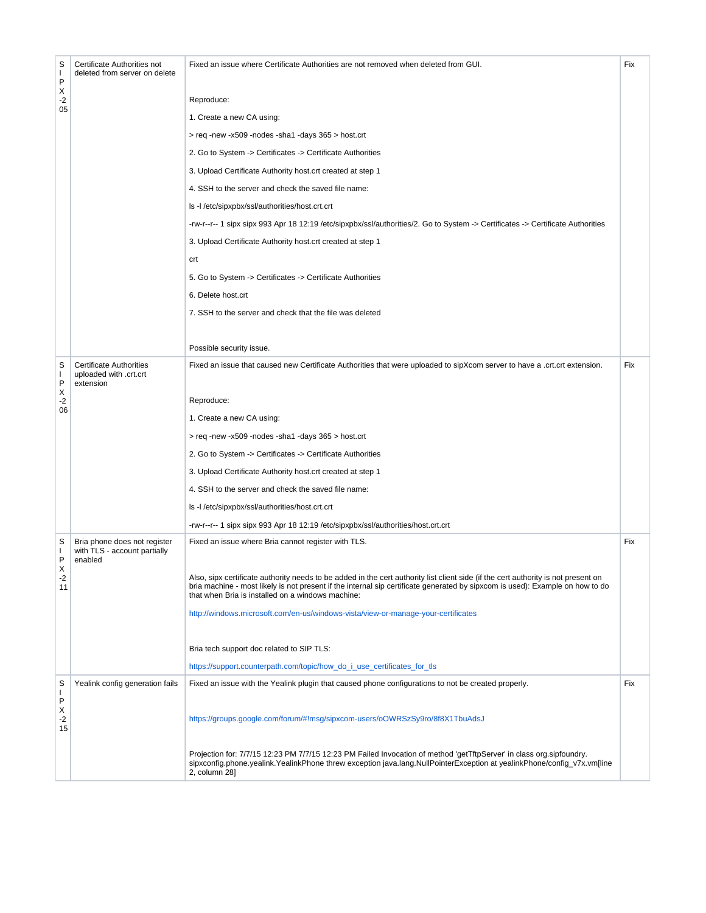| S<br>I.<br>P         | Certificate Authorities not<br>deleted from server on delete            | Fixed an issue where Certificate Authorities are not removed when deleted from GUI.                                                                                                                                                                                                                                      | Fix |
|----------------------|-------------------------------------------------------------------------|--------------------------------------------------------------------------------------------------------------------------------------------------------------------------------------------------------------------------------------------------------------------------------------------------------------------------|-----|
| Х<br>-2              |                                                                         | Reproduce:                                                                                                                                                                                                                                                                                                               |     |
| 05                   |                                                                         | 1. Create a new CA using:                                                                                                                                                                                                                                                                                                |     |
|                      |                                                                         | > req -new -x509 -nodes -sha1 -days 365 > host.crt                                                                                                                                                                                                                                                                       |     |
|                      |                                                                         | 2. Go to System -> Certificates -> Certificate Authorities                                                                                                                                                                                                                                                               |     |
|                      |                                                                         | 3. Upload Certificate Authority host.crt created at step 1                                                                                                                                                                                                                                                               |     |
|                      |                                                                         | 4. SSH to the server and check the saved file name:                                                                                                                                                                                                                                                                      |     |
|                      |                                                                         | Is -I /etc/sipxpbx/ssl/authorities/host.crt.crt                                                                                                                                                                                                                                                                          |     |
|                      |                                                                         | -rw-r--r-- 1 sipx sipx 993 Apr 18 12:19 /etc/sipxpbx/ssl/authorities/2. Go to System -> Certificates -> Certificate Authorities                                                                                                                                                                                          |     |
|                      |                                                                         | 3. Upload Certificate Authority host.crt created at step 1                                                                                                                                                                                                                                                               |     |
|                      |                                                                         | crt                                                                                                                                                                                                                                                                                                                      |     |
|                      |                                                                         | 5. Go to System -> Certificates -> Certificate Authorities                                                                                                                                                                                                                                                               |     |
|                      |                                                                         | 6. Delete host.crt                                                                                                                                                                                                                                                                                                       |     |
|                      |                                                                         | 7. SSH to the server and check that the file was deleted                                                                                                                                                                                                                                                                 |     |
|                      |                                                                         |                                                                                                                                                                                                                                                                                                                          |     |
|                      |                                                                         | Possible security issue.                                                                                                                                                                                                                                                                                                 |     |
| S<br>I.<br>P         | <b>Certificate Authorities</b><br>uploaded with .crt.crt<br>extension   | Fixed an issue that caused new Certificate Authorities that were uploaded to sipXcom server to have a .crt.crt extension.                                                                                                                                                                                                | Fix |
| Х<br>$-2$            |                                                                         | Reproduce:                                                                                                                                                                                                                                                                                                               |     |
| 06                   |                                                                         | 1. Create a new CA using:                                                                                                                                                                                                                                                                                                |     |
|                      |                                                                         | > req -new -x509 -nodes -sha1 -days 365 > host.crt                                                                                                                                                                                                                                                                       |     |
|                      |                                                                         | 2. Go to System -> Certificates -> Certificate Authorities                                                                                                                                                                                                                                                               |     |
|                      |                                                                         | 3. Upload Certificate Authority host.crt created at step 1                                                                                                                                                                                                                                                               |     |
|                      |                                                                         | 4. SSH to the server and check the saved file name:                                                                                                                                                                                                                                                                      |     |
|                      |                                                                         | Is -I /etc/sipxpbx/ssl/authorities/host.crt.crt                                                                                                                                                                                                                                                                          |     |
|                      |                                                                         | -rw-r--r-- 1 sipx sipx 993 Apr 18 12:19 /etc/sipxpbx/ssl/authorities/host.crt.crt                                                                                                                                                                                                                                        |     |
| S<br>I.<br>P         | Bria phone does not register<br>with TLS - account partially<br>enabled | Fixed an issue where Bria cannot register with TLS.                                                                                                                                                                                                                                                                      | Fix |
| X<br>-2<br>11        |                                                                         | Also, sipx certificate authority needs to be added in the cert authority list client side (if the cert authority is not present on<br>bria machine - most likely is not present if the internal sip certificate generated by sipxcom is used): Example on how to do<br>that when Bria is installed on a windows machine: |     |
|                      |                                                                         | http://windows.microsoft.com/en-us/windows-vista/view-or-manage-your-certificates                                                                                                                                                                                                                                        |     |
|                      |                                                                         | Bria tech support doc related to SIP TLS:                                                                                                                                                                                                                                                                                |     |
|                      |                                                                         | https://support.counterpath.com/topic/how_do_i_use_certificates_for_tls                                                                                                                                                                                                                                                  |     |
| S<br>I.              | Yealink config generation fails                                         | Fixed an issue with the Yealink plugin that caused phone configurations to not be created properly.                                                                                                                                                                                                                      | Fix |
| P<br>Х<br>$-2$<br>15 |                                                                         | https://groups.google.com/forum/#!msg/sipxcom-users/oOWRSzSy9ro/8f8X1TbuAdsJ                                                                                                                                                                                                                                             |     |
|                      |                                                                         | Projection for: 7/7/15 12:23 PM 7/7/15 12:23 PM Failed Invocation of method 'getTftpServer' in class org.sipfoundry.<br>sipxconfig.phone.yealink.YealinkPhone threw exception java.lang.NullPointerException at yealinkPhone/config_v7x.vm[line<br>2, column 28]                                                         |     |
|                      |                                                                         |                                                                                                                                                                                                                                                                                                                          |     |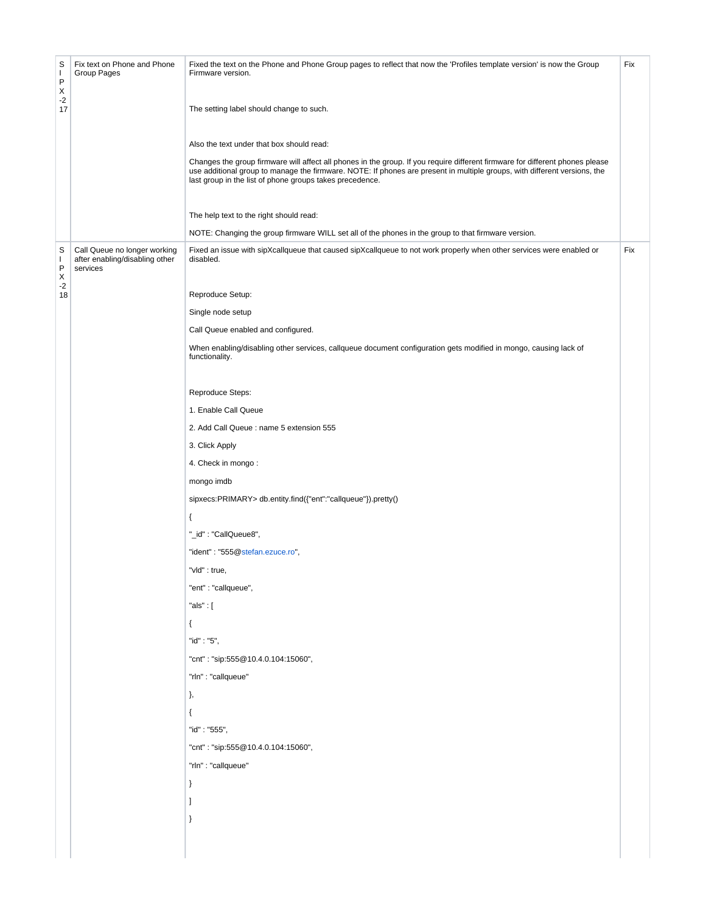| S<br>Т.<br>P<br>X<br>$-2$<br>17           | Fix text on Phone and Phone<br>Group Pages                                 | Fixed the text on the Phone and Phone Group pages to reflect that now the 'Profiles template version' is now the Group<br>Firmware version.<br>The setting label should change to such.<br>Also the text under that box should read:<br>Changes the group firmware will affect all phones in the group. If you require different firmware for different phones please<br>use additional group to manage the firmware. NOTE: If phones are present in multiple groups, with different versions, the<br>last group in the list of phone groups takes precedence.<br>The help text to the right should read:<br>NOTE: Changing the group firmware WILL set all of the phones in the group to that firmware version.                                                                                                                                                                      | Fix |
|-------------------------------------------|----------------------------------------------------------------------------|---------------------------------------------------------------------------------------------------------------------------------------------------------------------------------------------------------------------------------------------------------------------------------------------------------------------------------------------------------------------------------------------------------------------------------------------------------------------------------------------------------------------------------------------------------------------------------------------------------------------------------------------------------------------------------------------------------------------------------------------------------------------------------------------------------------------------------------------------------------------------------------|-----|
| S<br>$\mathbf{I}$<br>P<br>X<br>$-2$<br>18 | Call Queue no longer working<br>after enabling/disabling other<br>services | Fixed an issue with sipXcallqueue that caused sipXcallqueue to not work properly when other services were enabled or<br>disabled.<br>Reproduce Setup:<br>Single node setup<br>Call Queue enabled and configured.<br>When enabling/disabling other services, callqueue document configuration gets modified in mongo, causing lack of<br>functionality.<br>Reproduce Steps:<br>1. Enable Call Queue<br>2. Add Call Queue: name 5 extension 555<br>3. Click Apply<br>4. Check in mongo:<br>mongo imdb<br>sipxecs:PRIMARY> db.entity.find({"ent":"callqueue"}).pretty()<br>₹<br>"_id": "CallQueue8",<br>"ident": "555@stefan.ezuce.ro",<br>"vid" : true,<br>"ent" : "callqueue",<br>"als": $[$<br>€<br>"id": "5",<br>"cnt": "sip:555@10.4.0.104:15060",<br>"rln" : "callqueue"<br>},<br>$\{$<br>"id": "555",<br>"cnt": "sip:555@10.4.0.104:15060",<br>"rln" : "callqueue"<br>}<br>1<br>ł | Fix |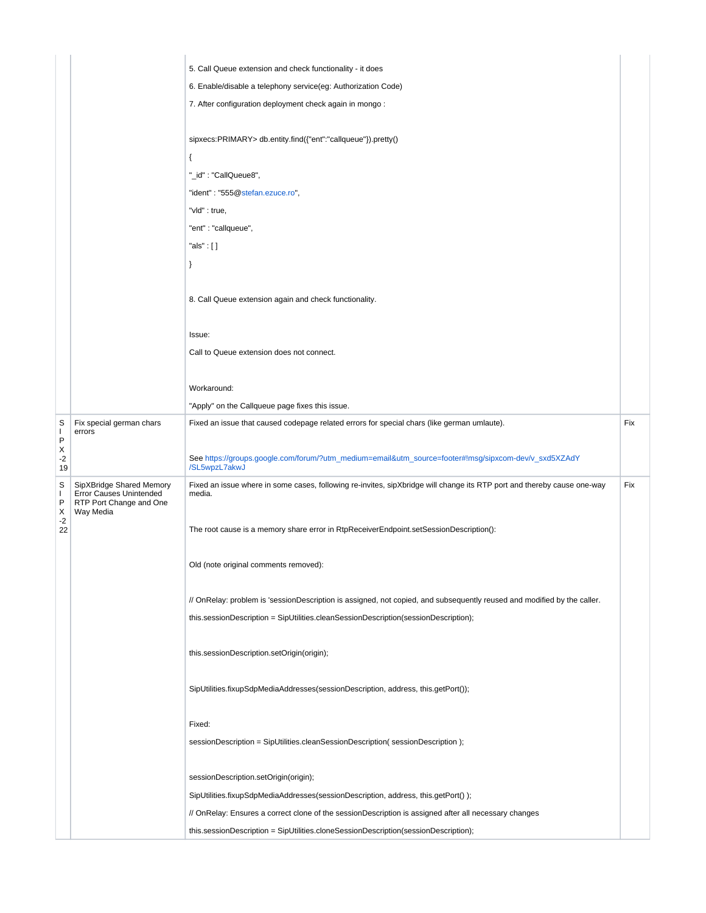|               |                                                                        | 5. Call Queue extension and check functionality - it does                                                               |     |
|---------------|------------------------------------------------------------------------|-------------------------------------------------------------------------------------------------------------------------|-----|
|               |                                                                        | 6. Enable/disable a telephony service(eg: Authorization Code)                                                           |     |
|               |                                                                        | 7. After configuration deployment check again in mongo:                                                                 |     |
|               |                                                                        |                                                                                                                         |     |
|               |                                                                        | sipxecs:PRIMARY> db.entity.find({"ent":"callqueue"}).pretty()                                                           |     |
|               |                                                                        | $\{$                                                                                                                    |     |
|               |                                                                        | "_id": "CallQueue8",                                                                                                    |     |
|               |                                                                        | "ident": "555@stefan.ezuce.ro",                                                                                         |     |
|               |                                                                        | "vid" : true,                                                                                                           |     |
|               |                                                                        | "ent": "callqueue",                                                                                                     |     |
|               |                                                                        | "als" : [ ]                                                                                                             |     |
|               |                                                                        | $\}$                                                                                                                    |     |
|               |                                                                        |                                                                                                                         |     |
|               |                                                                        | 8. Call Queue extension again and check functionality.                                                                  |     |
|               |                                                                        |                                                                                                                         |     |
|               |                                                                        | Issue:                                                                                                                  |     |
|               |                                                                        | Call to Queue extension does not connect.                                                                               |     |
|               |                                                                        |                                                                                                                         |     |
|               |                                                                        | Workaround:                                                                                                             |     |
|               |                                                                        | "Apply" on the Callqueue page fixes this issue.                                                                         |     |
| S<br>L        | Fix special german chars                                               | Fixed an issue that caused codepage related errors for special chars (like german umlaute).                             | Fix |
| P             | errors                                                                 |                                                                                                                         |     |
| X<br>-2<br>19 |                                                                        | See https://groups.google.com/forum/?utm_medium=email&utm_source=footer#!msg/sipxcom-dev/v_sxd5XZAdY<br>/SL5wpzL7akwJ   |     |
| S             | SipXBridge Shared Memory                                               | Fixed an issue where in some cases, following re-invites, sipXbridge will change its RTP port and thereby cause one-way | Fix |
| T<br>P        | <b>Error Causes Unintended</b><br>RTP Port Change and One<br>Way Media | media.                                                                                                                  |     |
| Χ<br>$-2$     |                                                                        |                                                                                                                         |     |
| 22            |                                                                        | The root cause is a memory share error in RtpReceiverEndpoint.setSessionDescription():                                  |     |
|               |                                                                        |                                                                                                                         |     |
|               |                                                                        | Old (note original comments removed):                                                                                   |     |
|               |                                                                        |                                                                                                                         |     |
|               |                                                                        | // OnRelay: problem is 'sessionDescription is assigned, not copied, and subsequently reused and modified by the caller. |     |
|               |                                                                        | this.sessionDescription = SipUtilities.cleanSessionDescription(sessionDescription);                                     |     |
|               |                                                                        |                                                                                                                         |     |
|               |                                                                        | this.sessionDescription.setOrigin(origin);                                                                              |     |
|               |                                                                        |                                                                                                                         |     |
|               |                                                                        | SipUtilities.fixupSdpMediaAddresses(sessionDescription, address, this.getPort());                                       |     |
|               |                                                                        |                                                                                                                         |     |
|               |                                                                        | Fixed:                                                                                                                  |     |
|               |                                                                        | sessionDescription = SipUtilities.cleanSessionDescription(sessionDescription);                                          |     |
|               |                                                                        | sessionDescription.setOrigin(origin);                                                                                   |     |
|               |                                                                        | SipUtilities.fixupSdpMediaAddresses(sessionDescription, address, this.getPort());                                       |     |
|               |                                                                        | // OnRelay: Ensures a correct clone of the sessionDescription is assigned after all necessary changes                   |     |
|               |                                                                        | this.sessionDescription = SipUtilities.cloneSessionDescription(sessionDescription);                                     |     |
|               |                                                                        |                                                                                                                         |     |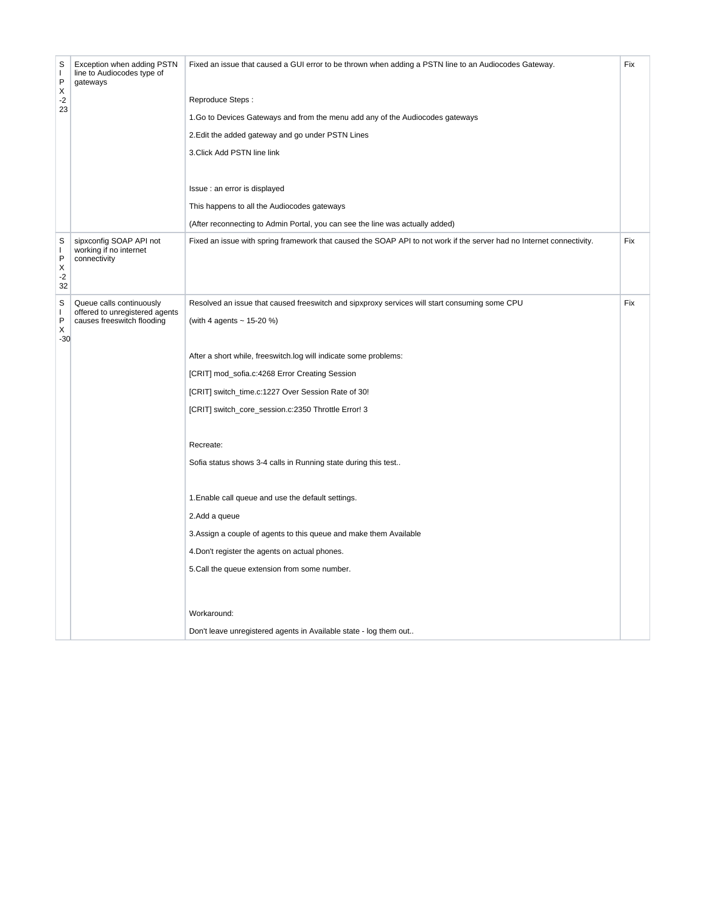| S<br>L<br>P<br>X<br>$-2$<br>23 | Exception when adding PSTN<br>line to Audiocodes type of<br>gateways | Fixed an issue that caused a GUI error to be thrown when adding a PSTN line to an Audiocodes Gateway.                 | Fix |
|--------------------------------|----------------------------------------------------------------------|-----------------------------------------------------------------------------------------------------------------------|-----|
|                                |                                                                      | Reproduce Steps:                                                                                                      |     |
|                                |                                                                      | 1.Go to Devices Gateways and from the menu add any of the Audiocodes gateways                                         |     |
|                                |                                                                      | 2. Edit the added gateway and go under PSTN Lines                                                                     |     |
|                                |                                                                      | 3. Click Add PSTN line link                                                                                           |     |
|                                |                                                                      | Issue : an error is displayed                                                                                         |     |
|                                |                                                                      | This happens to all the Audiocodes gateways                                                                           |     |
|                                |                                                                      | (After reconnecting to Admin Portal, you can see the line was actually added)                                         |     |
| S<br>L<br>P<br>Х<br>$-2$<br>32 | sipxconfig SOAP API not<br>working if no internet<br>connectivity    | Fixed an issue with spring framework that caused the SOAP API to not work if the server had no Internet connectivity. | Fix |
| S                              | Queue calls continuously                                             | Resolved an issue that caused freeswitch and sipxproxy services will start consuming some CPU                         | Fix |
| ı<br>P                         | offered to unregistered agents<br>causes freeswitch flooding         | (with 4 agents ~ 15-20 %)                                                                                             |     |
| X<br>$-30$                     |                                                                      |                                                                                                                       |     |
|                                |                                                                      | After a short while, freeswitch.log will indicate some problems:                                                      |     |
|                                |                                                                      | [CRIT] mod_sofia.c:4268 Error Creating Session                                                                        |     |
|                                |                                                                      | [CRIT] switch_time.c:1227 Over Session Rate of 30!                                                                    |     |
|                                |                                                                      | [CRIT] switch_core_session.c:2350 Throttle Error! 3                                                                   |     |
|                                |                                                                      | Recreate:                                                                                                             |     |
|                                |                                                                      | Sofia status shows 3-4 calls in Running state during this test                                                        |     |
|                                |                                                                      |                                                                                                                       |     |
|                                |                                                                      | 1. Enable call queue and use the default settings.                                                                    |     |
|                                |                                                                      | 2.Add a queue                                                                                                         |     |
|                                |                                                                      | 3. Assign a couple of agents to this queue and make them Available                                                    |     |
|                                |                                                                      | 4. Don't register the agents on actual phones.                                                                        |     |
|                                |                                                                      | 5. Call the queue extension from some number.                                                                         |     |
|                                |                                                                      |                                                                                                                       |     |
|                                |                                                                      | Workaround:                                                                                                           |     |
|                                |                                                                      | Don't leave unregistered agents in Available state - log them out                                                     |     |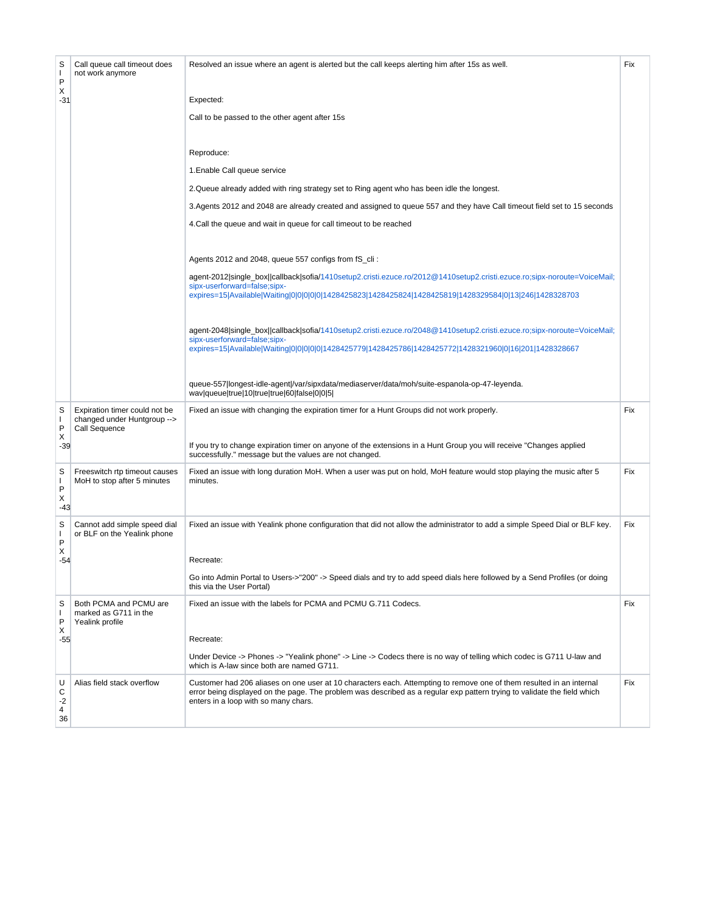| S<br>$\mathbf{I}$<br>P    | Call queue call timeout does<br>not work anymore                              | Resolved an issue where an agent is alerted but the call keeps alerting him after 15s as well.                                                                                                                                                                                           | Fix |
|---------------------------|-------------------------------------------------------------------------------|------------------------------------------------------------------------------------------------------------------------------------------------------------------------------------------------------------------------------------------------------------------------------------------|-----|
| Х<br>$-31$                |                                                                               | Expected:                                                                                                                                                                                                                                                                                |     |
|                           |                                                                               | Call to be passed to the other agent after 15s                                                                                                                                                                                                                                           |     |
|                           |                                                                               | Reproduce:                                                                                                                                                                                                                                                                               |     |
|                           |                                                                               | 1. Enable Call queue service                                                                                                                                                                                                                                                             |     |
|                           |                                                                               | 2. Queue already added with ring strategy set to Ring agent who has been idle the longest.                                                                                                                                                                                               |     |
|                           |                                                                               | 3. Agents 2012 and 2048 are already created and assigned to queue 557 and they have Call timeout field set to 15 seconds                                                                                                                                                                 |     |
|                           |                                                                               | 4. Call the queue and wait in queue for call timeout to be reached                                                                                                                                                                                                                       |     |
|                           |                                                                               | Agents 2012 and 2048, queue 557 configs from fS_cli:                                                                                                                                                                                                                                     |     |
|                           |                                                                               | agent-2012 single_box  callback sofia/1410setup2.cristi.ezuce.ro/2012@1410setup2.cristi.ezuce.ro;sipx-noroute=VoiceMail;<br>sipx-userforward=false:sipx-<br>expires=15 Available Waiting 0 0 0 0 0 1428425823 1428425824 1428425819 1428329584 0 13 246 1428328703                       |     |
|                           |                                                                               | agent-2048 single box callback sofia/1410 setup 2.cristi.ezuce.ro/2048@1410 setup 2.cristi.ezuce.ro; sipx-noroute=VoiceMail;<br>sipx-userforward=false;sipx-<br>expires=15 Available Waiting 0 0 0 0 0 1428425779 1428425786 1428425772 1428321960 0 16 201 1428328667                   |     |
|                           |                                                                               | queue-557 longest-idle-agent /var/sipxdata/mediaserver/data/moh/suite-espanola-op-47-leyenda.<br>wav queue true 10 true true 60 false 0 0 5                                                                                                                                              |     |
| S<br>I.<br>P              | Expiration timer could not be<br>changed under Huntgroup --><br>Call Sequence | Fixed an issue with changing the expiration timer for a Hunt Groups did not work properly.                                                                                                                                                                                               | Fix |
| х<br>$-39$                |                                                                               | If you try to change expiration timer on anyone of the extensions in a Hunt Group you will receive "Changes applied<br>successfully." message but the values are not changed.                                                                                                            |     |
| S<br>I.<br>P<br>X<br>-43  | Freeswitch rtp timeout causes<br>MoH to stop after 5 minutes                  | Fixed an issue with long duration MoH. When a user was put on hold, MoH feature would stop playing the music after 5<br>minutes.                                                                                                                                                         | Fix |
| S<br>$\mathbf{I}$<br>P    | Cannot add simple speed dial<br>or BLF on the Yealink phone                   | Fixed an issue with Yealink phone configuration that did not allow the administrator to add a simple Speed Dial or BLF key.                                                                                                                                                              | Fix |
| Х<br>$-54$                |                                                                               | Recreate:                                                                                                                                                                                                                                                                                |     |
|                           |                                                                               | Go into Admin Portal to Users->"200" -> Speed dials and try to add speed dials here followed by a Send Profiles (or doing<br>this via the User Portal)                                                                                                                                   |     |
| S<br>$\mathbf{I}$<br>P    | Both PCMA and PCMU are<br>marked as G711 in the<br>Yealink profile            | Fixed an issue with the labels for PCMA and PCMU G.711 Codecs.                                                                                                                                                                                                                           | Fix |
| Х<br>$-55$                |                                                                               | Recreate:                                                                                                                                                                                                                                                                                |     |
|                           |                                                                               | Under Device -> Phones -> "Yealink phone" -> Line -> Codecs there is no way of telling which codec is G711 U-law and<br>which is A-law since both are named G711.                                                                                                                        |     |
| U<br>С<br>$-2$<br>4<br>36 | Alias field stack overflow                                                    | Customer had 206 aliases on one user at 10 characters each. Attempting to remove one of them resulted in an internal<br>error being displayed on the page. The problem was described as a regular exp pattern trying to validate the field which<br>enters in a loop with so many chars. | Fix |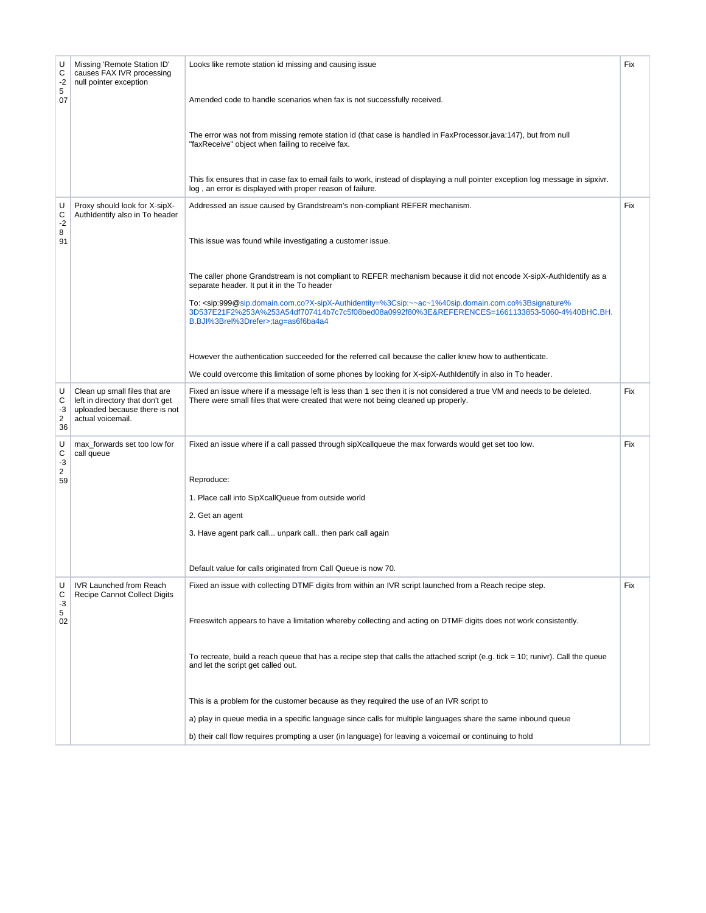| U<br>С<br>$-2$<br>5<br>07            | Missing 'Remote Station ID'<br>causes FAX IVR processing<br>null pointer exception                                      | Looks like remote station id missing and causing issue<br>Amended code to handle scenarios when fax is not successfully received.<br>The error was not from missing remote station id (that case is handled in FaxProcessor.java:147), but from null<br>"faxReceive" object when failing to receive fax.<br>This fix ensures that in case fax to email fails to work, instead of displaying a null pointer exception log message in sipxivr.<br>log, an error is displayed with proper reason of failure.                                                                                                                                                                                                                                                                                                                                                                                       | Fix |
|--------------------------------------|-------------------------------------------------------------------------------------------------------------------------|-------------------------------------------------------------------------------------------------------------------------------------------------------------------------------------------------------------------------------------------------------------------------------------------------------------------------------------------------------------------------------------------------------------------------------------------------------------------------------------------------------------------------------------------------------------------------------------------------------------------------------------------------------------------------------------------------------------------------------------------------------------------------------------------------------------------------------------------------------------------------------------------------|-----|
| U<br>С<br>$-2$<br>8<br>91            | Proxy should look for X-sipX-<br>AuthIdentify also in To header                                                         | Addressed an issue caused by Grandstream's non-compliant REFER mechanism.<br>This issue was found while investigating a customer issue.<br>The caller phone Grandstream is not compliant to REFER mechanism because it did not encode X-sipX-AuthIdentify as a<br>separate header. It put it in the To header<br>To: <sip:999@sip.domain.com.co?x-sipx-authidentity=%3csip:~~ac~1%40sip.domain.com.co%3bsignature%<br>3D537E21F2%253A%253A54df707414b7c7c5f08bed08a0992f80%3E&amp;REFERENCES=1661133853-5060-4%40BHC.BH.<br/>B.BJI%3Brel%3Drefer&gt;;tag=as6f6ba4a4<br/>However the authentication succeeded for the referred call because the caller knew how to authenticate.<br/>We could overcome this limitation of some phones by looking for X-sipX-AuthIdentify in also in To header.</sip:999@sip.domain.com.co?x-sipx-authidentity=%3csip:~~ac~1%40sip.domain.com.co%3bsignature%<br> | Fix |
| U<br>С<br>-3<br>$\overline{2}$<br>36 | Clean up small files that are<br>left in directory that don't get<br>uploaded because there is not<br>actual voicemail. | Fixed an issue where if a message left is less than 1 sec then it is not considered a true VM and needs to be deleted.<br>There were small files that were created that were not being cleaned up properly.                                                                                                                                                                                                                                                                                                                                                                                                                                                                                                                                                                                                                                                                                     | Fix |
| U<br>С<br>$-3$<br>2<br>59            | max_forwards set too low for<br>call queue                                                                              | Fixed an issue where if a call passed through sipXcallqueue the max forwards would get set too low.<br>Reproduce:<br>1. Place call into SipXcallQueue from outside world<br>2. Get an agent<br>3. Have agent park call unpark call then park call again<br>Default value for calls originated from Call Queue is now 70.                                                                                                                                                                                                                                                                                                                                                                                                                                                                                                                                                                        | Fix |
| U<br>С<br>-3<br>5<br>02              | <b>IVR Launched from Reach</b><br>Recipe Cannot Collect Digits                                                          | Fixed an issue with collecting DTMF digits from within an IVR script launched from a Reach recipe step.<br>Freeswitch appears to have a limitation whereby collecting and acting on DTMF digits does not work consistently.<br>To recreate, build a reach queue that has a recipe step that calls the attached script (e.g. tick = 10; runivr). Call the queue<br>and let the script get called out.<br>This is a problem for the customer because as they required the use of an IVR script to<br>a) play in queue media in a specific language since calls for multiple languages share the same inbound queue<br>b) their call flow requires prompting a user (in language) for leaving a voicemail or continuing to hold                                                                                                                                                                    | Fix |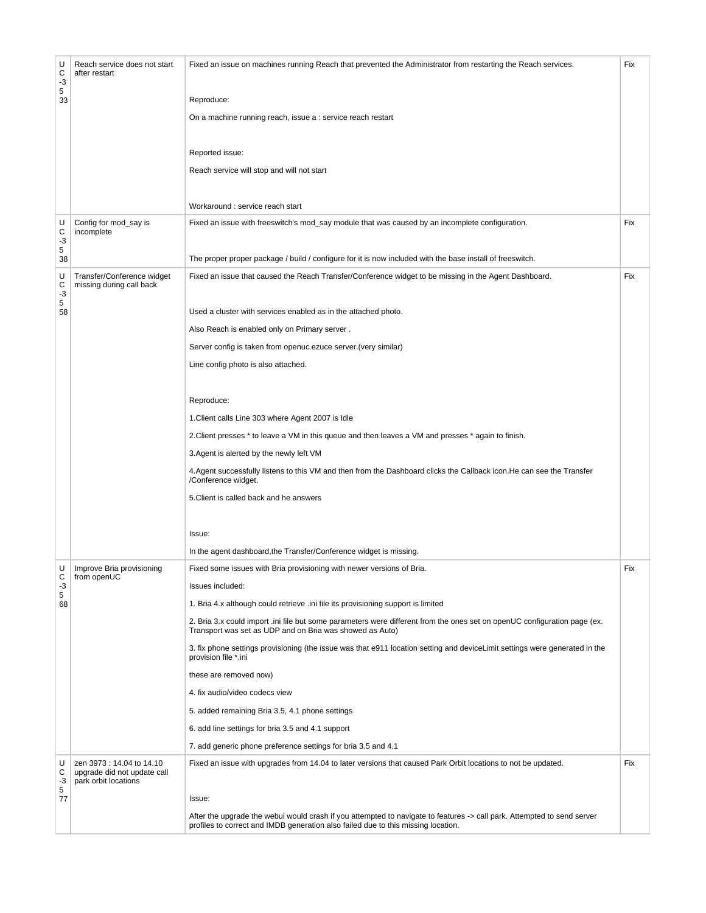| U<br>С<br>$-3$      | Reach service does not start<br>after restart                                    | Fixed an issue on machines running Reach that prevented the Administrator from restarting the Reach services.                                                                                                | Fix |
|---------------------|----------------------------------------------------------------------------------|--------------------------------------------------------------------------------------------------------------------------------------------------------------------------------------------------------------|-----|
| 5<br>33             |                                                                                  | Reproduce:                                                                                                                                                                                                   |     |
|                     |                                                                                  | On a machine running reach, issue a : service reach restart                                                                                                                                                  |     |
|                     |                                                                                  | Reported issue:                                                                                                                                                                                              |     |
|                     |                                                                                  | Reach service will stop and will not start                                                                                                                                                                   |     |
|                     |                                                                                  | Workaround : service reach start                                                                                                                                                                             |     |
| U<br>С<br>$-3$<br>5 | Config for mod_say is<br>incomplete                                              | Fixed an issue with freeswitch's mod_say module that was caused by an incomplete configuration.                                                                                                              | Fix |
| 38                  |                                                                                  | The proper proper package / build / configure for it is now included with the base install of freeswitch.                                                                                                    |     |
| U<br>С<br>-3<br>5   | Transfer/Conference widget<br>missing during call back                           | Fixed an issue that caused the Reach Transfer/Conference widget to be missing in the Agent Dashboard.                                                                                                        | Fix |
| 58                  |                                                                                  | Used a cluster with services enabled as in the attached photo.                                                                                                                                               |     |
|                     |                                                                                  | Also Reach is enabled only on Primary server.                                                                                                                                                                |     |
|                     |                                                                                  | Server config is taken from openuc.ezuce server. (very similar)                                                                                                                                              |     |
|                     |                                                                                  | Line config photo is also attached.                                                                                                                                                                          |     |
|                     |                                                                                  | Reproduce:                                                                                                                                                                                                   |     |
|                     |                                                                                  | 1. Client calls Line 303 where Agent 2007 is Idle                                                                                                                                                            |     |
|                     |                                                                                  | 2. Client presses * to leave a VM in this queue and then leaves a VM and presses * again to finish.                                                                                                          |     |
|                     |                                                                                  | 3. Agent is alerted by the newly left VM                                                                                                                                                                     |     |
|                     |                                                                                  | 4. Agent successfully listens to this VM and then from the Dashboard clicks the Callback icon. He can see the Transfer<br>/Conference widget.                                                                |     |
|                     |                                                                                  | 5. Client is called back and he answers                                                                                                                                                                      |     |
|                     |                                                                                  | Issue:                                                                                                                                                                                                       |     |
|                     |                                                                                  | In the agent dashboard, the Transfer/Conference widget is missing.                                                                                                                                           |     |
| U                   | Improve Bria provisioning                                                        | Fixed some issues with Bria provisioning with newer versions of Bria.                                                                                                                                        | Fix |
| С<br>$-3$           | from openUC                                                                      | Issues included:                                                                                                                                                                                             |     |
| 5<br>68             |                                                                                  | 1. Bria 4.x although could retrieve .ini file its provisioning support is limited                                                                                                                            |     |
|                     |                                                                                  | 2. Bria 3.x could import .ini file but some parameters were different from the ones set on openUC configuration page (ex.<br>Transport was set as UDP and on Bria was showed as Auto)                        |     |
|                     |                                                                                  | 3. fix phone settings provisioning (the issue was that e911 location setting and deviceLimit settings were generated in the<br>provision file *.ini                                                          |     |
|                     |                                                                                  | these are removed now)                                                                                                                                                                                       |     |
|                     |                                                                                  | 4. fix audio/video codecs view                                                                                                                                                                               |     |
|                     |                                                                                  | 5. added remaining Bria 3.5, 4.1 phone settings                                                                                                                                                              |     |
|                     |                                                                                  | 6. add line settings for bria 3.5 and 4.1 support                                                                                                                                                            |     |
|                     |                                                                                  | 7. add generic phone preference settings for bria 3.5 and 4.1                                                                                                                                                |     |
| U<br>С<br>-3<br>5   | zen 3973 : 14.04 to 14.10<br>upgrade did not update call<br>park orbit locations | Fixed an issue with upgrades from 14.04 to later versions that caused Park Orbit locations to not be updated.                                                                                                | Fix |
| 77                  |                                                                                  | Issue:                                                                                                                                                                                                       |     |
|                     |                                                                                  | After the upgrade the webui would crash if you attempted to navigate to features -> call park. Attempted to send server<br>profiles to correct and IMDB generation also failed due to this missing location. |     |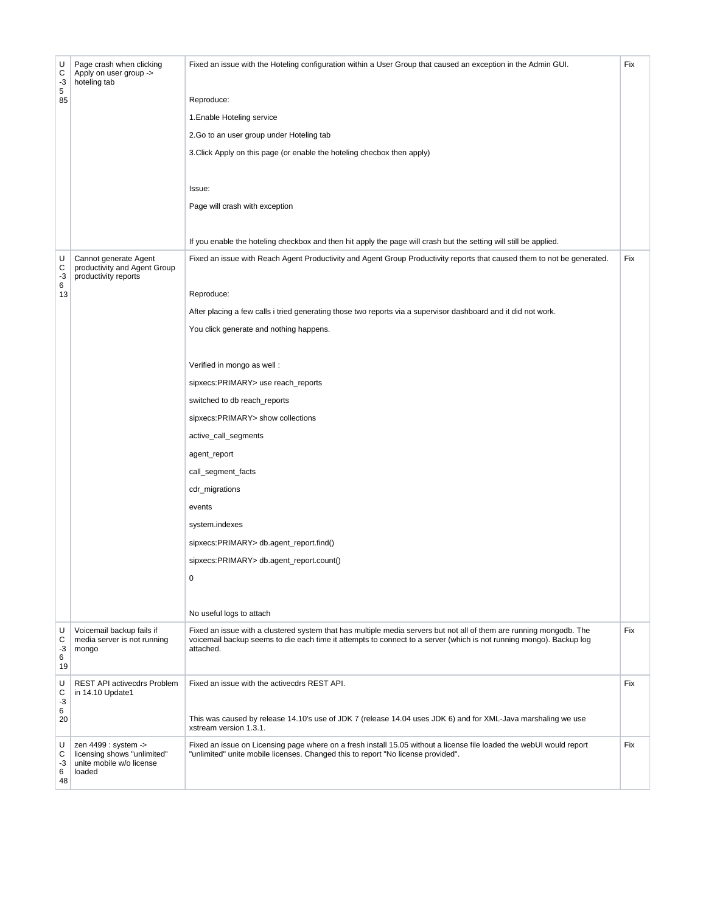| U<br>С<br>$-3$<br>5<br>85 | Page crash when clicking<br>Apply on user group -><br>hoteling tab                        | Fixed an issue with the Hoteling configuration within a User Group that caused an exception in the Admin GUI.<br>Reproduce:<br>1. Enable Hoteling service<br>2. Go to an user group under Hoteling tab<br>3. Click Apply on this page (or enable the hoteling checbox then apply)<br>Issue:<br>Page will crash with exception<br>If you enable the hoteling checkbox and then hit apply the page will crash but the setting will still be applied.                                                                                                                                                                                                                               | Fix |
|---------------------------|-------------------------------------------------------------------------------------------|----------------------------------------------------------------------------------------------------------------------------------------------------------------------------------------------------------------------------------------------------------------------------------------------------------------------------------------------------------------------------------------------------------------------------------------------------------------------------------------------------------------------------------------------------------------------------------------------------------------------------------------------------------------------------------|-----|
| U<br>С<br>$-3$<br>6<br>13 | Cannot generate Agent<br>productivity and Agent Group<br>productivity reports             | Fixed an issue with Reach Agent Productivity and Agent Group Productivity reports that caused them to not be generated.<br>Reproduce:<br>After placing a few calls i tried generating those two reports via a supervisor dashboard and it did not work.<br>You click generate and nothing happens.<br>Verified in mongo as well :<br>sipxecs:PRIMARY> use reach_reports<br>switched to db reach_reports<br>sipxecs:PRIMARY> show collections<br>active_call_segments<br>agent_report<br>call_segment_facts<br>cdr_migrations<br>events<br>system.indexes<br>sipxecs:PRIMARY> db.agent_report.find()<br>sipxecs:PRIMARY> db.agent_report.count()<br>0<br>No useful logs to attach | Fix |
| U<br>С<br>-3<br>6<br>19   | Voicemail backup fails if<br>media server is not running<br>mongo                         | Fixed an issue with a clustered system that has multiple media servers but not all of them are running mongodb. The<br>voicemail backup seems to die each time it attempts to connect to a server (which is not running mongo). Backup log<br>attached.                                                                                                                                                                                                                                                                                                                                                                                                                          | Fix |
| U<br>С<br>$-3$<br>6<br>20 | REST API activecdrs Problem<br>in 14.10 Update1                                           | Fixed an issue with the activecdrs REST API.<br>This was caused by release 14.10's use of JDK 7 (release 14.04 uses JDK 6) and for XML-Java marshaling we use<br>xstream version 1.3.1.                                                                                                                                                                                                                                                                                                                                                                                                                                                                                          | Fix |
| U<br>С<br>-3<br>6<br>48   | zen 4499 : system -><br>licensing shows "unlimited"<br>unite mobile w/o license<br>loaded | Fixed an issue on Licensing page where on a fresh install 15.05 without a license file loaded the webUI would report<br>"unlimited" unite mobile licenses. Changed this to report "No license provided".                                                                                                                                                                                                                                                                                                                                                                                                                                                                         | Fix |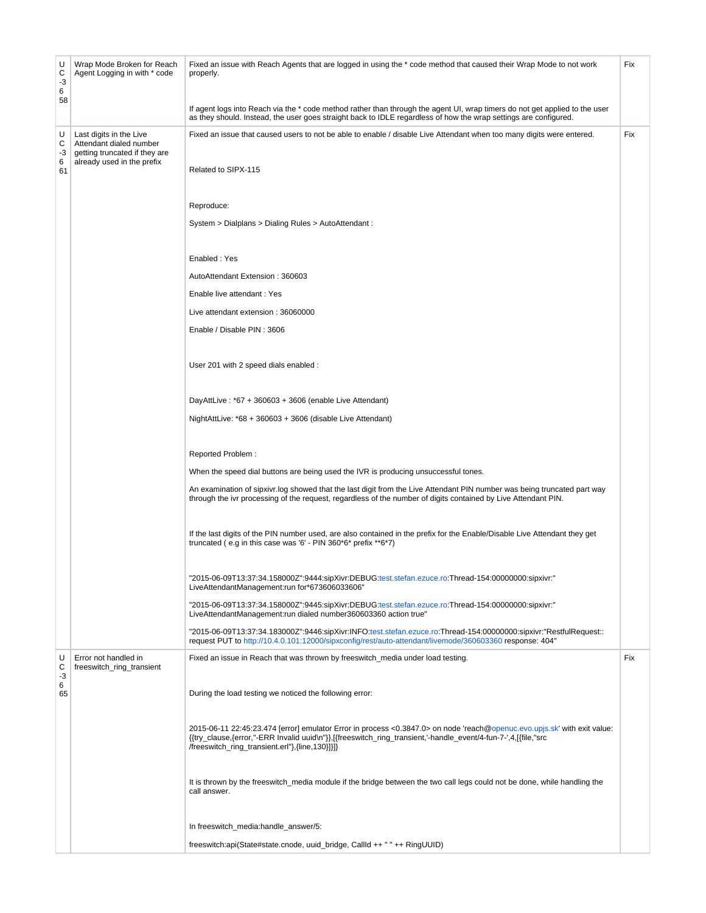| U<br>С<br>-3<br>6 | Wrap Mode Broken for Reach<br>Agent Logging in with * code                                                        | Fixed an issue with Reach Agents that are logged in using the * code method that caused their Wrap Mode to not work<br>properly.                                                                                                                                                              | Fix |
|-------------------|-------------------------------------------------------------------------------------------------------------------|-----------------------------------------------------------------------------------------------------------------------------------------------------------------------------------------------------------------------------------------------------------------------------------------------|-----|
| 58                |                                                                                                                   | If agent logs into Reach via the * code method rather than through the agent UI, wrap timers do not get applied to the user<br>as they should. Instead, the user goes straight back to IDLE regardless of how the wrap settings are configured.                                               |     |
| U<br>С<br>-3<br>6 | Last digits in the Live<br>Attendant dialed number<br>getting truncated if they are<br>already used in the prefix | Fixed an issue that caused users to not be able to enable / disable Live Attendant when too many digits were entered.                                                                                                                                                                         | Fix |
| 61                |                                                                                                                   | Related to SIPX-115                                                                                                                                                                                                                                                                           |     |
|                   |                                                                                                                   | Reproduce:                                                                                                                                                                                                                                                                                    |     |
|                   |                                                                                                                   | System > Dialplans > Dialing Rules > AutoAttendant :                                                                                                                                                                                                                                          |     |
|                   |                                                                                                                   | Enabled: Yes                                                                                                                                                                                                                                                                                  |     |
|                   |                                                                                                                   | AutoAttendant Extension: 360603                                                                                                                                                                                                                                                               |     |
|                   |                                                                                                                   | Enable live attendant: Yes                                                                                                                                                                                                                                                                    |     |
|                   |                                                                                                                   | Live attendant extension: 36060000                                                                                                                                                                                                                                                            |     |
|                   |                                                                                                                   | Enable / Disable PIN: 3606                                                                                                                                                                                                                                                                    |     |
|                   |                                                                                                                   | User 201 with 2 speed dials enabled :                                                                                                                                                                                                                                                         |     |
|                   |                                                                                                                   | DayAttLive: $*67 + 360603 + 3606$ (enable Live Attendant)                                                                                                                                                                                                                                     |     |
|                   |                                                                                                                   | NightAttLive: $*68 + 360603 + 3606$ (disable Live Attendant)                                                                                                                                                                                                                                  |     |
|                   |                                                                                                                   | Reported Problem:                                                                                                                                                                                                                                                                             |     |
|                   |                                                                                                                   | When the speed dial buttons are being used the IVR is producing unsuccessful tones.                                                                                                                                                                                                           |     |
|                   |                                                                                                                   | An examination of sipxivr.log showed that the last digit from the Live Attendant PIN number was being truncated part way<br>through the ivr processing of the request, regardless of the number of digits contained by Live Attendant PIN.                                                    |     |
|                   |                                                                                                                   | If the last digits of the PIN number used, are also contained in the prefix for the Enable/Disable Live Attendant they get<br>truncated (e.g in this case was '6' - PIN 360*6* prefix **6*7)                                                                                                  |     |
|                   |                                                                                                                   | "2015-06-09T13:37:34.158000Z":9444:sipXivr:DEBUG:test.stefan.ezuce.ro:Thread-154:00000000:sipxivr:"<br>LiveAttendantManagement:run for*673606033606"                                                                                                                                          |     |
|                   |                                                                                                                   | "2015-06-09T13:37:34.158000Z":9445:sipXivr:DEBUG:test.stefan.ezuce.ro:Thread-154:00000000:sipxivr:"<br>LiveAttendantManagement:run dialed number360603360 action true"                                                                                                                        |     |
|                   |                                                                                                                   | "2015-06-09T13:37:34.183000Z":9446:sipXivr:INFO:test.stefan.ezuce.ro:Thread-154:00000000:sipxivr:"RestfulRequest::<br>request PUT to http://10.4.0.101:12000/sipxconfig/rest/auto-attendant/livemode/360603360 response: 404"                                                                 |     |
| U<br>С<br>-3      | Error not handled in<br>freeswitch ring transient                                                                 | Fixed an issue in Reach that was thrown by freeswitch_media under load testing.                                                                                                                                                                                                               | Fix |
| 6<br>65           |                                                                                                                   | During the load testing we noticed the following error:                                                                                                                                                                                                                                       |     |
|                   |                                                                                                                   | 2015-06-11 22:45:23.474 [error] emulator Error in process <0.3847.0> on node 'reach@openuc.evo.upjs.sk' with exit value:<br>{{try_clause,{error,"-ERR Invalid uuid\n"}},[{freeswitch_ring_transient,'-handle_event/4-fun-7-',4,[{file,"src<br>/freeswitch_ring_transient.erl"},{line,130}]}]} |     |
|                   |                                                                                                                   | It is thrown by the freeswitch_media module if the bridge between the two call legs could not be done, while handling the<br>call answer.                                                                                                                                                     |     |
|                   |                                                                                                                   | In freeswitch_media:handle_answer/5:                                                                                                                                                                                                                                                          |     |
|                   |                                                                                                                   | freeswitch:api(State#state.cnode, uuid_bridge, CallId ++ " " ++ RingUUID)                                                                                                                                                                                                                     |     |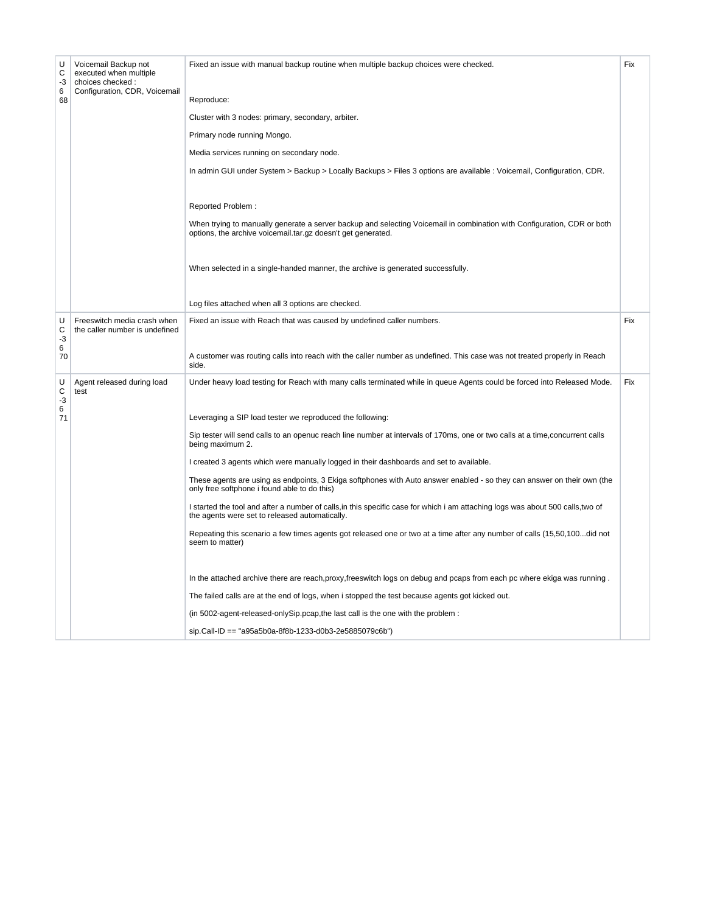| U<br>C<br>-3<br>6<br>68 | Voicemail Backup not<br>executed when multiple<br>choices checked :<br>Configuration, CDR, Voicemail | Fixed an issue with manual backup routine when multiple backup choices were checked.<br>Reproduce:                                                                                      | Fix |
|-------------------------|------------------------------------------------------------------------------------------------------|-----------------------------------------------------------------------------------------------------------------------------------------------------------------------------------------|-----|
|                         |                                                                                                      | Cluster with 3 nodes: primary, secondary, arbiter.                                                                                                                                      |     |
|                         |                                                                                                      | Primary node running Mongo.                                                                                                                                                             |     |
|                         |                                                                                                      | Media services running on secondary node.                                                                                                                                               |     |
|                         |                                                                                                      | In admin GUI under System > Backup > Locally Backups > Files 3 options are available : Voicemail, Configuration, CDR.                                                                   |     |
|                         |                                                                                                      |                                                                                                                                                                                         |     |
|                         |                                                                                                      | Reported Problem:                                                                                                                                                                       |     |
|                         |                                                                                                      | When trying to manually generate a server backup and selecting Voicemail in combination with Configuration, CDR or both<br>options, the archive voicemail.tar.gz doesn't get generated. |     |
|                         |                                                                                                      | When selected in a single-handed manner, the archive is generated successfully.                                                                                                         |     |
|                         |                                                                                                      | Log files attached when all 3 options are checked.                                                                                                                                      |     |
| U                       | Freeswitch media crash when                                                                          | Fixed an issue with Reach that was caused by undefined caller numbers.                                                                                                                  | Fix |
| С<br>-3                 | the caller number is undefined                                                                       |                                                                                                                                                                                         |     |
| 6<br>70                 |                                                                                                      | A customer was routing calls into reach with the caller number as undefined. This case was not treated properly in Reach<br>side.                                                       |     |
| U<br>C<br>$-3$          | Agent released during load<br>test                                                                   | Under heavy load testing for Reach with many calls terminated while in queue Agents could be forced into Released Mode.                                                                 | Fix |
| 6<br>71                 |                                                                                                      | Leveraging a SIP load tester we reproduced the following:                                                                                                                               |     |
|                         |                                                                                                      | Sip tester will send calls to an openuc reach line number at intervals of 170ms, one or two calls at a time, concurrent calls<br>being maximum 2.                                       |     |
|                         |                                                                                                      | I created 3 agents which were manually logged in their dashboards and set to available.                                                                                                 |     |
|                         |                                                                                                      | These agents are using as endpoints, 3 Ekiga softphones with Auto answer enabled - so they can answer on their own (the<br>only free softphone i found able to do this)                 |     |
|                         |                                                                                                      | I started the tool and after a number of calls, in this specific case for which i am attaching logs was about 500 calls, two of<br>the agents were set to released automatically.       |     |
|                         |                                                                                                      | Repeating this scenario a few times agents got released one or two at a time after any number of calls (15,50,100did not<br>seem to matter)                                             |     |
|                         |                                                                                                      |                                                                                                                                                                                         |     |
|                         |                                                                                                      | In the attached archive there are reach, proxy, freeswitch logs on debug and pcaps from each pc where ekiga was running.                                                                |     |
|                         |                                                                                                      | The failed calls are at the end of logs, when i stopped the test because agents got kicked out.                                                                                         |     |
|                         |                                                                                                      | (in 5002-agent-released-onlySip.pcap,the last call is the one with the problem :                                                                                                        |     |
|                         |                                                                                                      | sip.Call-ID == "a95a5b0a-8f8b-1233-d0b3-2e5885079c6b")                                                                                                                                  |     |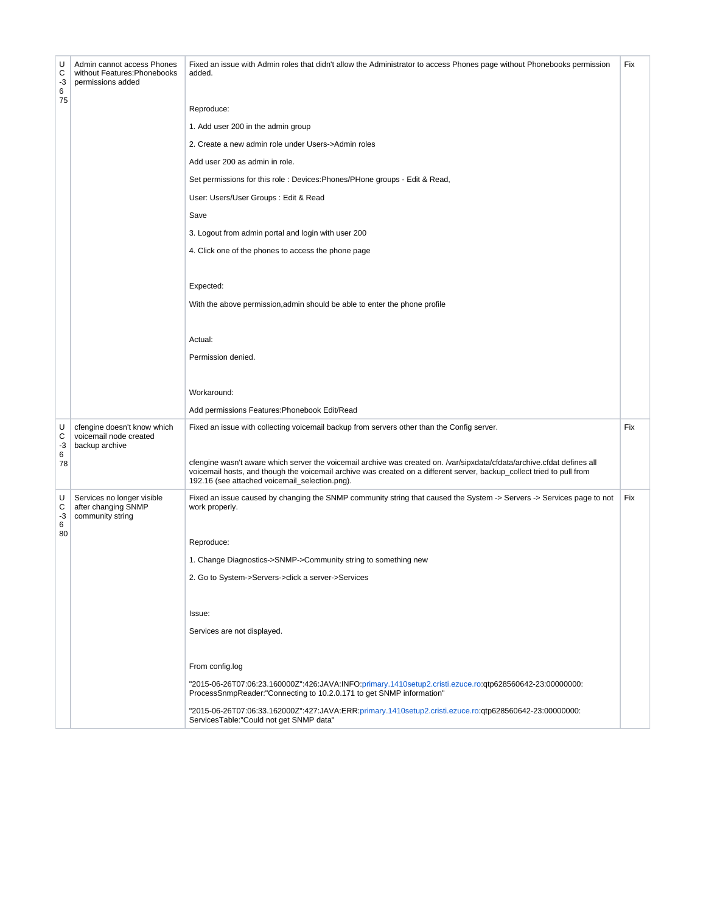| U<br>С<br>-3<br>6 | Admin cannot access Phones<br>without Features: Phonebooks<br>permissions added | Fixed an issue with Admin roles that didn't allow the Administrator to access Phones page without Phonebooks permission<br>added.                                                                                                                                                                   | Fix |
|-------------------|---------------------------------------------------------------------------------|-----------------------------------------------------------------------------------------------------------------------------------------------------------------------------------------------------------------------------------------------------------------------------------------------------|-----|
| 75                |                                                                                 | Reproduce:                                                                                                                                                                                                                                                                                          |     |
|                   |                                                                                 | 1. Add user 200 in the admin group                                                                                                                                                                                                                                                                  |     |
|                   |                                                                                 | 2. Create a new admin role under Users->Admin roles                                                                                                                                                                                                                                                 |     |
|                   |                                                                                 | Add user 200 as admin in role.                                                                                                                                                                                                                                                                      |     |
|                   |                                                                                 | Set permissions for this role: Devices: Phones/PHone groups - Edit & Read,                                                                                                                                                                                                                          |     |
|                   |                                                                                 | User: Users/User Groups : Edit & Read                                                                                                                                                                                                                                                               |     |
|                   |                                                                                 | Save                                                                                                                                                                                                                                                                                                |     |
|                   |                                                                                 | 3. Logout from admin portal and login with user 200                                                                                                                                                                                                                                                 |     |
|                   |                                                                                 | 4. Click one of the phones to access the phone page                                                                                                                                                                                                                                                 |     |
|                   |                                                                                 |                                                                                                                                                                                                                                                                                                     |     |
|                   |                                                                                 | Expected:                                                                                                                                                                                                                                                                                           |     |
|                   |                                                                                 | With the above permission, admin should be able to enter the phone profile                                                                                                                                                                                                                          |     |
|                   |                                                                                 |                                                                                                                                                                                                                                                                                                     |     |
|                   |                                                                                 | Actual:                                                                                                                                                                                                                                                                                             |     |
|                   |                                                                                 | Permission denied.                                                                                                                                                                                                                                                                                  |     |
|                   |                                                                                 |                                                                                                                                                                                                                                                                                                     |     |
|                   |                                                                                 | Workaround:                                                                                                                                                                                                                                                                                         |     |
|                   |                                                                                 | Add permissions Features: Phonebook Edit/Read                                                                                                                                                                                                                                                       |     |
| U<br>С<br>-3      | cfengine doesn't know which<br>voicemail node created<br>backup archive         | Fixed an issue with collecting voicemail backup from servers other than the Config server.                                                                                                                                                                                                          | Fix |
| 6<br>78           |                                                                                 | cfengine wasn't aware which server the voicemail archive was created on. /var/sipxdata/cfdata/archive.cfdat defines all<br>voicemail hosts, and though the voicemail archive was created on a different server, backup_collect tried to pull from<br>192.16 (see attached voicemail_selection.png). |     |
| U<br>С<br>$-3$    | Services no longer visible<br>after changing SNMP<br>community string           | Fixed an issue caused by changing the SNMP community string that caused the System -> Servers -> Services page to not<br>work properly.                                                                                                                                                             | Fix |
| 6<br>80           |                                                                                 |                                                                                                                                                                                                                                                                                                     |     |
|                   |                                                                                 | Reproduce:                                                                                                                                                                                                                                                                                          |     |
|                   |                                                                                 | 1. Change Diagnostics->SNMP->Community string to something new                                                                                                                                                                                                                                      |     |
|                   |                                                                                 | 2. Go to System->Servers->click a server->Services                                                                                                                                                                                                                                                  |     |
|                   |                                                                                 |                                                                                                                                                                                                                                                                                                     |     |
|                   |                                                                                 | Issue:                                                                                                                                                                                                                                                                                              |     |
|                   |                                                                                 | Services are not displayed.                                                                                                                                                                                                                                                                         |     |
|                   |                                                                                 | From config.log                                                                                                                                                                                                                                                                                     |     |
|                   |                                                                                 | "2015-06-26T07:06:23.160000Z":426:JAVA:INFO:primary.1410setup2.cristi.ezuce.ro:qtp628560642-23:00000000:<br>ProcessSnmpReader:"Connecting to 10.2.0.171 to get SNMP information"                                                                                                                    |     |
|                   |                                                                                 | "2015-06-26T07:06:33.162000Z":427:JAVA:ERR:primary.1410setup2.cristi.ezuce.ro:qtp628560642-23:00000000:<br>ServicesTable:"Could not get SNMP data"                                                                                                                                                  |     |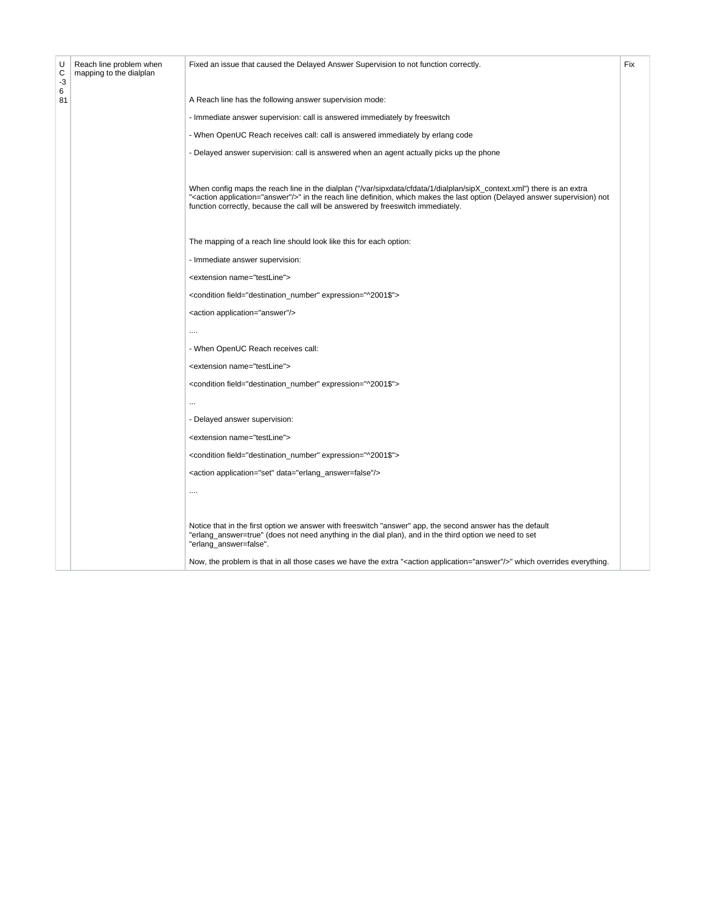| U<br>C<br>-3 | Reach line problem when<br>mapping to the dialplan | Fixed an issue that caused the Delayed Answer Supervision to not function correctly.                                                                                                                                                                                                                                                                | Fix |
|--------------|----------------------------------------------------|-----------------------------------------------------------------------------------------------------------------------------------------------------------------------------------------------------------------------------------------------------------------------------------------------------------------------------------------------------|-----|
| 6<br>81      |                                                    | A Reach line has the following answer supervision mode:                                                                                                                                                                                                                                                                                             |     |
|              |                                                    | - Immediate answer supervision: call is answered immediately by freeswitch                                                                                                                                                                                                                                                                          |     |
|              |                                                    | - When OpenUC Reach receives call: call is answered immediately by erlang code                                                                                                                                                                                                                                                                      |     |
|              |                                                    | - Delayed answer supervision: call is answered when an agent actually picks up the phone                                                                                                                                                                                                                                                            |     |
|              |                                                    |                                                                                                                                                                                                                                                                                                                                                     |     |
|              |                                                    | When config maps the reach line in the dialplan ("/var/sipxdata/cfdata/1/dialplan/sipX_context.xml") there is an extra<br>" <action application="answer"></action> " in the reach line definition, which makes the last option (Delayed answer supervision) not<br>function correctly, because the call will be answered by freeswitch immediately. |     |
|              |                                                    | The mapping of a reach line should look like this for each option:                                                                                                                                                                                                                                                                                  |     |
|              |                                                    | - Immediate answer supervision:                                                                                                                                                                                                                                                                                                                     |     |
|              |                                                    | <extension name="testLine"></extension>                                                                                                                                                                                                                                                                                                             |     |
|              |                                                    | <condition expression="^2001\$" field="destination_number"></condition>                                                                                                                                                                                                                                                                             |     |
|              |                                                    | <action application="answer"></action>                                                                                                                                                                                                                                                                                                              |     |
|              |                                                    |                                                                                                                                                                                                                                                                                                                                                     |     |
|              |                                                    | - When OpenUC Reach receives call:                                                                                                                                                                                                                                                                                                                  |     |
|              |                                                    | <extension name="testLine"></extension>                                                                                                                                                                                                                                                                                                             |     |
|              |                                                    | <condition expression="^2001\$" field="destination_number"></condition>                                                                                                                                                                                                                                                                             |     |
|              |                                                    |                                                                                                                                                                                                                                                                                                                                                     |     |
|              |                                                    | - Delayed answer supervision:                                                                                                                                                                                                                                                                                                                       |     |
|              |                                                    | <extension name="testLine"></extension>                                                                                                                                                                                                                                                                                                             |     |
|              |                                                    | <condition expression="^2001\$" field="destination_number"></condition>                                                                                                                                                                                                                                                                             |     |
|              |                                                    | <action application="set" data="erlang_answer=false"></action>                                                                                                                                                                                                                                                                                      |     |
|              |                                                    |                                                                                                                                                                                                                                                                                                                                                     |     |
|              |                                                    |                                                                                                                                                                                                                                                                                                                                                     |     |
|              |                                                    | Notice that in the first option we answer with freeswitch "answer" app, the second answer has the default<br>"erlang_answer=true" (does not need anything in the dial plan), and in the third option we need to set<br>"erlang_answer=false".                                                                                                       |     |
|              |                                                    | Now, the problem is that in all those cases we have the extra " <action application="answer"></action> " which overrides everything.                                                                                                                                                                                                                |     |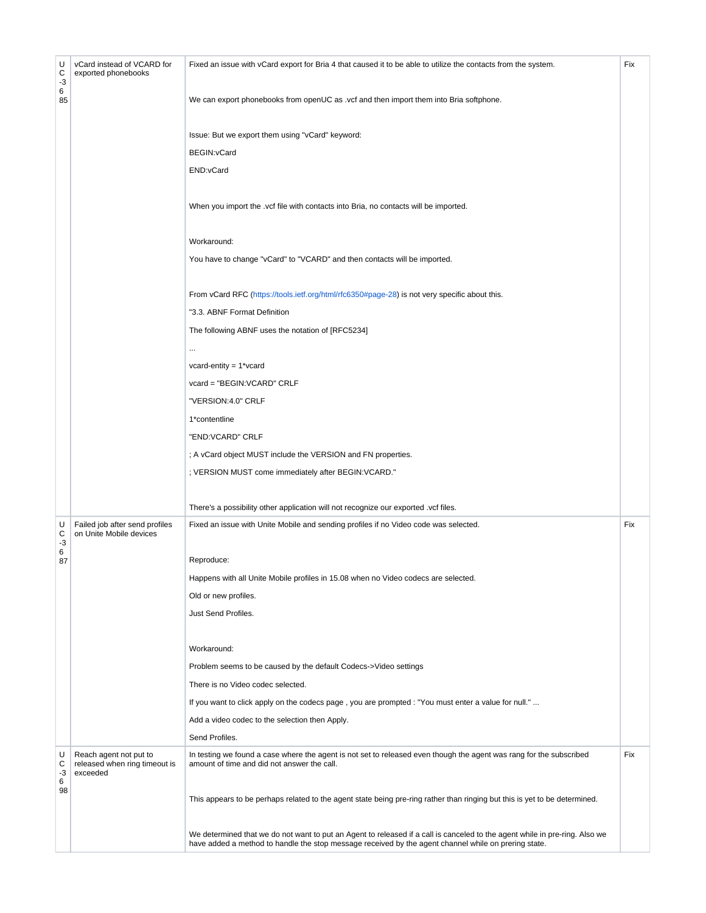| U<br>С<br>$-3$<br>6 | vCard instead of VCARD for<br>exported phonebooks                   | Fixed an issue with vCard export for Bria 4 that caused it to be able to utilize the contacts from the system.                                                                                                                      | Fix |
|---------------------|---------------------------------------------------------------------|-------------------------------------------------------------------------------------------------------------------------------------------------------------------------------------------------------------------------------------|-----|
| 85                  |                                                                     | We can export phonebooks from openUC as .vcf and then import them into Bria softphone.                                                                                                                                              |     |
|                     |                                                                     | Issue: But we export them using "vCard" keyword:                                                                                                                                                                                    |     |
|                     |                                                                     | BEGIN: vCard                                                                                                                                                                                                                        |     |
|                     |                                                                     | END:vCard                                                                                                                                                                                                                           |     |
|                     |                                                                     | When you import the .vcf file with contacts into Bria, no contacts will be imported.                                                                                                                                                |     |
|                     |                                                                     | Workaround:                                                                                                                                                                                                                         |     |
|                     |                                                                     | You have to change "vCard" to "VCARD" and then contacts will be imported.                                                                                                                                                           |     |
|                     |                                                                     | From vCard RFC (https://tools.ietf.org/html/rfc6350#page-28) is not very specific about this.                                                                                                                                       |     |
|                     |                                                                     | "3.3. ABNF Format Definition                                                                                                                                                                                                        |     |
|                     |                                                                     | The following ABNF uses the notation of [RFC5234]                                                                                                                                                                                   |     |
|                     |                                                                     | $\cdots$                                                                                                                                                                                                                            |     |
|                     |                                                                     | vcard-entity = $1$ *vcard                                                                                                                                                                                                           |     |
|                     |                                                                     | vcard = "BEGIN:VCARD" CRLF                                                                                                                                                                                                          |     |
|                     |                                                                     | "VERSION:4.0" CRLF                                                                                                                                                                                                                  |     |
|                     |                                                                     | 1*contentline                                                                                                                                                                                                                       |     |
|                     |                                                                     | "END:VCARD" CRLF                                                                                                                                                                                                                    |     |
|                     |                                                                     | ; A vCard object MUST include the VERSION and FN properties.                                                                                                                                                                        |     |
|                     |                                                                     | ; VERSION MUST come immediately after BEGIN: VCARD."                                                                                                                                                                                |     |
|                     |                                                                     | There's a possibility other application will not recognize our exported .vcf files.                                                                                                                                                 |     |
| U<br>С<br>-3        | Failed job after send profiles<br>on Unite Mobile devices           | Fixed an issue with Unite Mobile and sending profiles if no Video code was selected.                                                                                                                                                | Fix |
| 6<br>87             |                                                                     | Reproduce:                                                                                                                                                                                                                          |     |
|                     |                                                                     | Happens with all Unite Mobile profiles in 15.08 when no Video codecs are selected.                                                                                                                                                  |     |
|                     |                                                                     | Old or new profiles.                                                                                                                                                                                                                |     |
|                     |                                                                     | Just Send Profiles.                                                                                                                                                                                                                 |     |
|                     |                                                                     | Workaround:                                                                                                                                                                                                                         |     |
|                     |                                                                     | Problem seems to be caused by the default Codecs->Video settings                                                                                                                                                                    |     |
|                     |                                                                     | There is no Video codec selected.                                                                                                                                                                                                   |     |
|                     |                                                                     | If you want to click apply on the codecs page, you are prompted : "You must enter a value for null."                                                                                                                                |     |
|                     |                                                                     | Add a video codec to the selection then Apply.                                                                                                                                                                                      |     |
|                     |                                                                     | Send Profiles.                                                                                                                                                                                                                      |     |
| U<br>С<br>-3<br>6   | Reach agent not put to<br>released when ring timeout is<br>exceeded | In testing we found a case where the agent is not set to released even though the agent was rang for the subscribed<br>amount of time and did not answer the call.                                                                  | Fix |
| 98                  |                                                                     | This appears to be perhaps related to the agent state being pre-ring rather than ringing but this is yet to be determined.                                                                                                          |     |
|                     |                                                                     | We determined that we do not want to put an Agent to released if a call is canceled to the agent while in pre-ring. Also we<br>have added a method to handle the stop message received by the agent channel while on prering state. |     |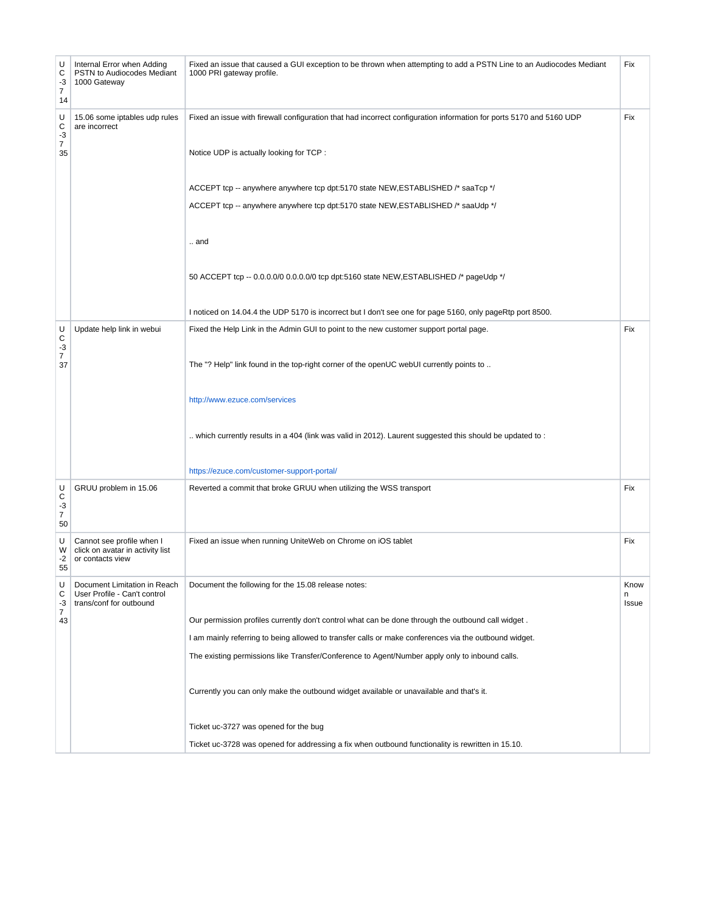| U<br>С<br>-3<br>$\overline{7}$<br>14   | Internal Error when Adding<br>PSTN to Audiocodes Mediant<br>1000 Gateway                | Fixed an issue that caused a GUI exception to be thrown when attempting to add a PSTN Line to an Audiocodes Mediant<br>1000 PRI gateway profile. | Fix                |
|----------------------------------------|-----------------------------------------------------------------------------------------|--------------------------------------------------------------------------------------------------------------------------------------------------|--------------------|
| U<br>С<br>$-3$                         | 15.06 some iptables udp rules<br>are incorrect                                          | Fixed an issue with firewall configuration that had incorrect configuration information for ports 5170 and 5160 UDP                              | Fix                |
| $\boldsymbol{7}$<br>35                 |                                                                                         | Notice UDP is actually looking for TCP :                                                                                                         |                    |
|                                        |                                                                                         | ACCEPT tcp -- anywhere anywhere tcp dpt:5170 state NEW, ESTABLISHED /* saaTcp */                                                                 |                    |
|                                        |                                                                                         | ACCEPT tcp -- anywhere anywhere tcp dpt:5170 state NEW, ESTABLISHED /* saaUdp */                                                                 |                    |
|                                        |                                                                                         | $\dots$ and                                                                                                                                      |                    |
|                                        |                                                                                         | 50 ACCEPT tcp -- 0.0.0.0/0 0.0.0.0/0 tcp dpt:5160 state NEW, ESTABLISHED /* pageUdp */                                                           |                    |
|                                        |                                                                                         | I noticed on 14.04.4 the UDP 5170 is incorrect but I don't see one for page 5160, only pageRtp port 8500.                                        |                    |
| U<br>С<br>-3                           | Update help link in webui                                                               | Fixed the Help Link in the Admin GUI to point to the new customer support portal page.                                                           | Fix                |
| $\overline{7}$<br>37                   |                                                                                         | The "? Help" link found in the top-right corner of the openUC webUI currently points to                                                          |                    |
|                                        |                                                                                         | http://www.ezuce.com/services                                                                                                                    |                    |
|                                        |                                                                                         | which currently results in a 404 (link was valid in 2012). Laurent suggested this should be updated to:                                          |                    |
|                                        |                                                                                         | https://ezuce.com/customer-support-portal/                                                                                                       |                    |
| U<br>С<br>$-3$<br>$\overline{7}$<br>50 | GRUU problem in 15.06                                                                   | Reverted a commit that broke GRUU when utilizing the WSS transport                                                                               | Fix                |
| U<br>W<br>-2<br>55                     | Cannot see profile when I<br>click on avatar in activity list<br>or contacts view       | Fixed an issue when running UniteWeb on Chrome on iOS tablet                                                                                     | Fix                |
| U<br>С<br>-3                           | Document Limitation in Reach<br>User Profile - Can't control<br>trans/conf for outbound | Document the following for the 15.08 release notes:                                                                                              | Know<br>n<br>Issue |
| 7<br>43                                |                                                                                         | Our permission profiles currently don't control what can be done through the outbound call widget.                                               |                    |
|                                        |                                                                                         | I am mainly referring to being allowed to transfer calls or make conferences via the outbound widget.                                            |                    |
|                                        |                                                                                         | The existing permissions like Transfer/Conference to Agent/Number apply only to inbound calls.                                                   |                    |
|                                        |                                                                                         | Currently you can only make the outbound widget available or unavailable and that's it.                                                          |                    |
|                                        |                                                                                         | Ticket uc-3727 was opened for the bug                                                                                                            |                    |
|                                        |                                                                                         | Ticket uc-3728 was opened for addressing a fix when outbound functionality is rewritten in 15.10.                                                |                    |